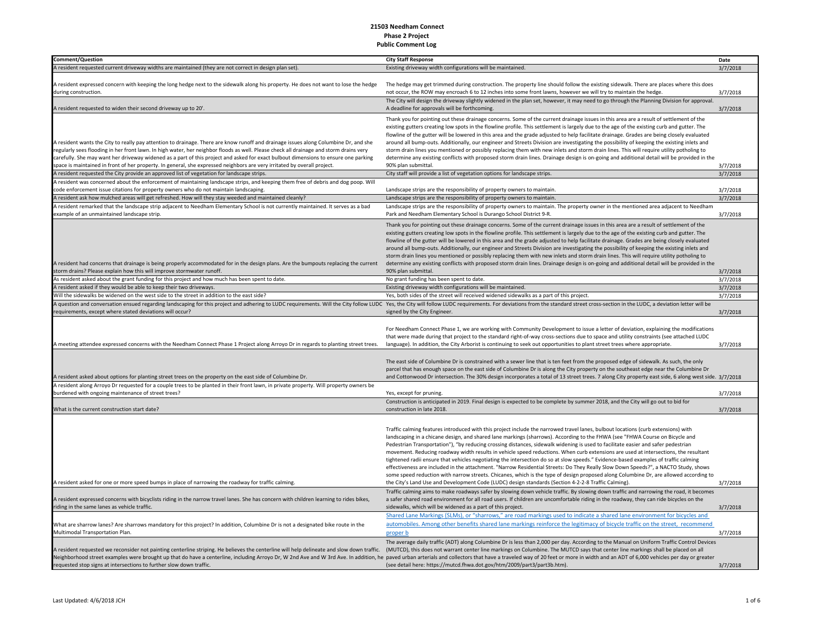| Comment/Question                                                                                                                                                                                                                                                                                                                                                                                                                                                                                                                                  | <b>City Staff Response</b>                                                                                                                                                                                                                                                                                                                                                                                                                                                                                                                                                                                                                                                                                                                                                                                                                                                                                                                                                                                                                                                                                                                                                                                            | Date     |
|---------------------------------------------------------------------------------------------------------------------------------------------------------------------------------------------------------------------------------------------------------------------------------------------------------------------------------------------------------------------------------------------------------------------------------------------------------------------------------------------------------------------------------------------------|-----------------------------------------------------------------------------------------------------------------------------------------------------------------------------------------------------------------------------------------------------------------------------------------------------------------------------------------------------------------------------------------------------------------------------------------------------------------------------------------------------------------------------------------------------------------------------------------------------------------------------------------------------------------------------------------------------------------------------------------------------------------------------------------------------------------------------------------------------------------------------------------------------------------------------------------------------------------------------------------------------------------------------------------------------------------------------------------------------------------------------------------------------------------------------------------------------------------------|----------|
| A resident requested current driveway widths are maintained (they are not correct in design plan set).                                                                                                                                                                                                                                                                                                                                                                                                                                            | Existing driveway width configurations will be maintained.                                                                                                                                                                                                                                                                                                                                                                                                                                                                                                                                                                                                                                                                                                                                                                                                                                                                                                                                                                                                                                                                                                                                                            | 3/7/2018 |
|                                                                                                                                                                                                                                                                                                                                                                                                                                                                                                                                                   |                                                                                                                                                                                                                                                                                                                                                                                                                                                                                                                                                                                                                                                                                                                                                                                                                                                                                                                                                                                                                                                                                                                                                                                                                       |          |
| A resident expressed concern with keeping the long hedge next to the sidewalk along his property. He does not want to lose the hedge<br>during construction.                                                                                                                                                                                                                                                                                                                                                                                      | The hedge may get trimmed during construction. The property line should follow the existing sidewalk. There are places where this does<br>not occur, the ROW may encroach 6 to 12 inches into some front lawns, however we will try to maintain the hedge                                                                                                                                                                                                                                                                                                                                                                                                                                                                                                                                                                                                                                                                                                                                                                                                                                                                                                                                                             | 3/7/2018 |
| A resident requested to widen their second driveway up to 20'.                                                                                                                                                                                                                                                                                                                                                                                                                                                                                    | The City will design the driveway slightly widened in the plan set, however, it may need to go through the Planning Division for approval.<br>A deadline for approvals will be forthcoming.                                                                                                                                                                                                                                                                                                                                                                                                                                                                                                                                                                                                                                                                                                                                                                                                                                                                                                                                                                                                                           | 3/7/2018 |
| A resident wants the City to really pay attention to drainage. There are know runoff and drainage issues along Columbine Dr, and she<br>regularly sees flooding in her front lawn. In high water, her neighbor floods as well. Please check all drainage and storm drains very<br>carefully. She may want her driveway widened as a part of this project and asked for exact bulbout dimensions to ensure one parking<br>space is maintained in front of her property. In general, she expressed neighbors are very irritated by overall project. | Thank you for pointing out these drainage concerns. Some of the current drainage issues in this area are a result of settlement of the<br>existing gutters creating low spots in the flowline profile. This settlement is largely due to the age of the existing curb and gutter. The<br>flowline of the gutter will be lowered in this area and the grade adjusted to help facilitate drainage. Grades are being closely evaluated<br>around all bump-outs. Additionally, our engineer and Streets Division are investigating the possibility of keeping the existing inlets and<br>storm drain lines you mentioned or possibly replacing them with new inlets and storm drain lines. This will require utility potholing to<br>determine any existing conflicts with proposed storm drain lines. Drainage design is on-going and additional detail will be provided in the<br>90% plan submittal.                                                                                                                                                                                                                                                                                                                   | 3/7/2018 |
| A resident requested the City provide an approved list of vegetation for landscape strips.                                                                                                                                                                                                                                                                                                                                                                                                                                                        | City staff will provide a list of vegetation options for landscape strips.                                                                                                                                                                                                                                                                                                                                                                                                                                                                                                                                                                                                                                                                                                                                                                                                                                                                                                                                                                                                                                                                                                                                            | 3/7/2018 |
| A resident was concerned about the enforcement of maintaining landscape strips, and keeping them free of debris and dog poop. Will                                                                                                                                                                                                                                                                                                                                                                                                                |                                                                                                                                                                                                                                                                                                                                                                                                                                                                                                                                                                                                                                                                                                                                                                                                                                                                                                                                                                                                                                                                                                                                                                                                                       |          |
| code enforcement issue citations for property owners who do not maintain landscaping                                                                                                                                                                                                                                                                                                                                                                                                                                                              | Landscape strips are the responsibility of property owners to maintain.                                                                                                                                                                                                                                                                                                                                                                                                                                                                                                                                                                                                                                                                                                                                                                                                                                                                                                                                                                                                                                                                                                                                               | 3/7/2018 |
| A resident ask how mulched areas will get refreshed. How will they stay weeded and maintained cleanly?                                                                                                                                                                                                                                                                                                                                                                                                                                            | Landscape strips are the responsibility of property owners to maintain.                                                                                                                                                                                                                                                                                                                                                                                                                                                                                                                                                                                                                                                                                                                                                                                                                                                                                                                                                                                                                                                                                                                                               | 3/7/2018 |
| A resident remarked that the landscape strip adjacent to Needham Elementary School is not currently maintained. It serves as a bad<br>example of an unmaintained landscape strip.                                                                                                                                                                                                                                                                                                                                                                 | Landscape strips are the responsibility of property owners to maintain. The property owner in the mentioned area adjacent to Needham<br>Park and Needham Elementary School is Durango School District 9-R.                                                                                                                                                                                                                                                                                                                                                                                                                                                                                                                                                                                                                                                                                                                                                                                                                                                                                                                                                                                                            | 3/7/2018 |
| A resident had concerns that drainage is being properly accommodated for in the design plans. Are the bumpouts replacing the current<br>storm drains? Please explain how this will improve stormwater runoff.                                                                                                                                                                                                                                                                                                                                     | Thank you for pointing out these drainage concerns. Some of the current drainage issues in this area are a result of settlement of the<br>existing gutters creating low spots in the flowline profile. This settlement is largely due to the age of the existing curb and gutter. The<br>flowline of the gutter will be lowered in this area and the grade adjusted to help facilitate drainage. Grades are being closely evaluated<br>around all bump-outs. Additionally, our engineer and Streets Division are investigating the possibility of keeping the existing inlets and<br>storm drain lines you mentioned or possibly replacing them with new inlets and storm drain lines. This will require utility potholing to<br>determine any existing conflicts with proposed storm drain lines. Drainage design is on-going and additional detail will be provided in the<br>90% plan submittal.                                                                                                                                                                                                                                                                                                                   | 3/7/2018 |
| As resident asked about the grant funding for this project and how much has been spent to date.                                                                                                                                                                                                                                                                                                                                                                                                                                                   | No grant funding has been spent to date.                                                                                                                                                                                                                                                                                                                                                                                                                                                                                                                                                                                                                                                                                                                                                                                                                                                                                                                                                                                                                                                                                                                                                                              | 3/7/2018 |
| A resident asked if they would be able to keep their two driveways.                                                                                                                                                                                                                                                                                                                                                                                                                                                                               | Existing driveway width configurations will be maintained.                                                                                                                                                                                                                                                                                                                                                                                                                                                                                                                                                                                                                                                                                                                                                                                                                                                                                                                                                                                                                                                                                                                                                            | 3/7/2018 |
| Will the sidewalks be widened on the west side to the street in addition to the east side?                                                                                                                                                                                                                                                                                                                                                                                                                                                        | Yes, both sides of the street will received widened sidewalks as a part of this project.                                                                                                                                                                                                                                                                                                                                                                                                                                                                                                                                                                                                                                                                                                                                                                                                                                                                                                                                                                                                                                                                                                                              | 3/7/2018 |
|                                                                                                                                                                                                                                                                                                                                                                                                                                                                                                                                                   | A question and conversation ensued regarding landscaping for this project and adhering to LUDC requirements. Will the City follow LUDC Yes, the City will follow LUDC requirements. For deviations from the standard street cr                                                                                                                                                                                                                                                                                                                                                                                                                                                                                                                                                                                                                                                                                                                                                                                                                                                                                                                                                                                        |          |
| equirements, except where stated deviations will occur?                                                                                                                                                                                                                                                                                                                                                                                                                                                                                           | signed by the City Engineer.                                                                                                                                                                                                                                                                                                                                                                                                                                                                                                                                                                                                                                                                                                                                                                                                                                                                                                                                                                                                                                                                                                                                                                                          | 3/7/2018 |
| A meeting attendee expressed concerns with the Needham Connect Phase 1 Project along Arroyo Dr in regards to planting street trees.                                                                                                                                                                                                                                                                                                                                                                                                               | For Needham Connect Phase 1, we are working with Community Development to issue a letter of deviation, explaining the modifications<br>that were made during that project to the standard right-of-way cross-sections due to space and utility constraints (see attached LUDC<br>language). In addition, the City Arborist is continuing to seek out opportunities to plant street trees where appropriate.<br>The east side of Columbine Dr is constrained with a sewer line that is ten feet from the proposed edge of sidewalk. As such, the only<br>parcel that has enough space on the east side of Columbine Dr is along the City property on the southeast edge near the Columbine Dr                                                                                                                                                                                                                                                                                                                                                                                                                                                                                                                          | 3/7/2018 |
| resident asked about options for planting street trees on the property on the east side of Columbine Dr.                                                                                                                                                                                                                                                                                                                                                                                                                                          | and Cottonwood Dr intersection. The 30% design incorporates a total of 13 street trees. 7 along City property east side, 6 along west side. 3/7/2018                                                                                                                                                                                                                                                                                                                                                                                                                                                                                                                                                                                                                                                                                                                                                                                                                                                                                                                                                                                                                                                                  |          |
| A resident along Arroyo Dr requested for a couple trees to be planted in their front lawn, in private property. Will property owners be<br>burdened with ongoing maintenance of street trees?                                                                                                                                                                                                                                                                                                                                                     | Yes, except for pruning.                                                                                                                                                                                                                                                                                                                                                                                                                                                                                                                                                                                                                                                                                                                                                                                                                                                                                                                                                                                                                                                                                                                                                                                              | 3/7/2018 |
| What is the current construction start date?                                                                                                                                                                                                                                                                                                                                                                                                                                                                                                      | Construction is anticipated in 2019. Final design is expected to be complete by summer 2018, and the City will go out to bid for<br>construction in late 2018.                                                                                                                                                                                                                                                                                                                                                                                                                                                                                                                                                                                                                                                                                                                                                                                                                                                                                                                                                                                                                                                        | 3/7/2018 |
| A resident asked for one or more speed bumps in place of narrowing the roadway for traffic calming.                                                                                                                                                                                                                                                                                                                                                                                                                                               | Traffic calming features introduced with this project include the narrowed travel lanes, bulbout locations (curb extensions) with<br>landscaping in a chicane design, and shared lane markings (sharrows). According to the FHWA (see "FHWA Course on Bicycle and<br>Pedestrian Transportation"), "by reducing crossing distances, sidewalk widening is used to facilitate easier and safer pedestrian<br>movement. Reducing roadway width results in vehicle speed reductions. When curb extensions are used at intersections, the resultant<br>tightened radii ensure that vehicles negotiating the intersection do so at slow speeds." Evidence-based examples of traffic calming<br>effectiveness are included in the attachment. "Narrow Residential Streets: Do They Really Slow Down Speeds?", a NACTO Study, shows<br>some speed reduction with narrow streets. Chicanes, which is the type of design proposed along Columbine Dr, are allowed according to<br>the City's Land Use and Development Code (LUDC) design standards (Section 4-2-2-8 Traffic Calming).<br>Traffic calming aims to make roadways safer by slowing down vehicle traffic. By slowing down traffic and narrowing the road, it becomes | 3/7/2018 |
| A resident expressed concerns with bicyclists riding in the narrow travel lanes. She has concern with children learning to rides bikes,<br>riding in the same lanes as vehicle traffic.                                                                                                                                                                                                                                                                                                                                                           | a safer shared road environment for all road users. If children are uncomfortable riding in the roadway, they can ride bicycles on the<br>sidewalks, which will be widened as a part of this project.<br>Shared Lane Markings (SLMs), or "sharrows," are road markings used to indicate a shared lane environment for bicycles and                                                                                                                                                                                                                                                                                                                                                                                                                                                                                                                                                                                                                                                                                                                                                                                                                                                                                    | 3/7/2018 |
| What are sharrow lanes? Are sharrows mandatory for this project? In addition, Columbine Dr is not a designated bike route in the<br>Multimodal Transportation Plan.                                                                                                                                                                                                                                                                                                                                                                               | automobiles. Among other benefits shared lane markings reinforce the legitimacy of bicycle traffic on the street, recommend<br>proper b                                                                                                                                                                                                                                                                                                                                                                                                                                                                                                                                                                                                                                                                                                                                                                                                                                                                                                                                                                                                                                                                               | 3/7/2018 |
| A resident requested we reconsider not painting centerline striping. He believes the centerline will help delineate and slow down traffic.                                                                                                                                                                                                                                                                                                                                                                                                        | The average daily traffic (ADT) along Columbine Dr is less than 2,000 per day. According to the Manual on Uniform Traffic Control Devices<br>(MUTCD), this does not warrant center line markings on Columbine. The MUTCD says that center line markings shall be placed on all<br>Neighborhood street examples were brought up that do have a centerline, including Arroyo Dr, W 2nd Ave and W 3rd Ave. In addition, he paved urban arterials and collectors that have a traveled way of 20 feet or more in widt                                                                                                                                                                                                                                                                                                                                                                                                                                                                                                                                                                                                                                                                                                      |          |
| requested stop signs at intersections to further slow down traffic.                                                                                                                                                                                                                                                                                                                                                                                                                                                                               | (see detail here: https://mutcd.fhwa.dot.gov/htm/2009/part3/part3b.htm).                                                                                                                                                                                                                                                                                                                                                                                                                                                                                                                                                                                                                                                                                                                                                                                                                                                                                                                                                                                                                                                                                                                                              | 3/7/2018 |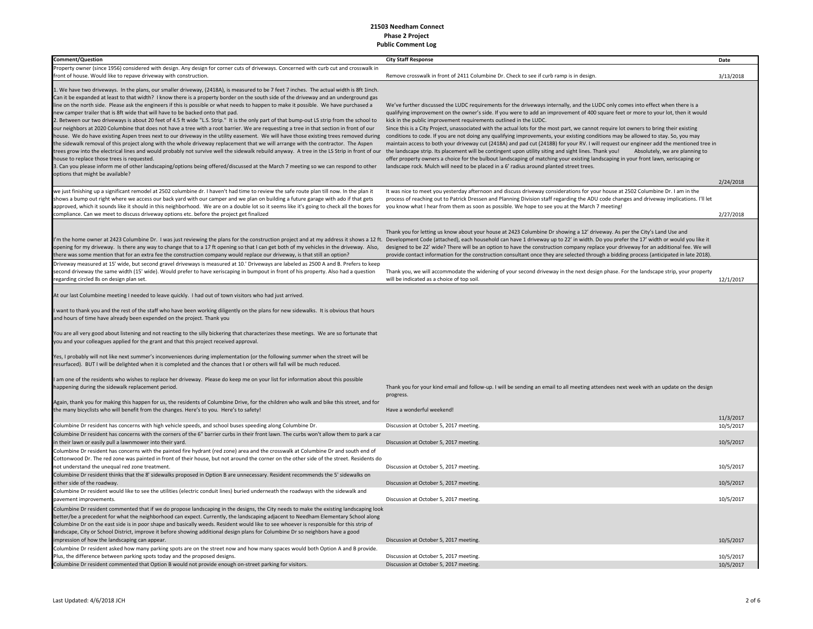| <b>Comment/Question</b>                                                                                                                                                                                                                                                                                                                                                                                                                                                                                                                                                                                                                                                                                                                                                                                                                                                                                                                                                                                                                                                                                                                                                                                                                                                                                                                                                                                                                                                                                                                         | <b>City Staff Response</b>                                                                                                                                                                                                                                                                                                                                                                                                                                                                                                                                                                                                                                                                                                                                                                                                                                                                                                                                                                                                                    | Date                   |
|-------------------------------------------------------------------------------------------------------------------------------------------------------------------------------------------------------------------------------------------------------------------------------------------------------------------------------------------------------------------------------------------------------------------------------------------------------------------------------------------------------------------------------------------------------------------------------------------------------------------------------------------------------------------------------------------------------------------------------------------------------------------------------------------------------------------------------------------------------------------------------------------------------------------------------------------------------------------------------------------------------------------------------------------------------------------------------------------------------------------------------------------------------------------------------------------------------------------------------------------------------------------------------------------------------------------------------------------------------------------------------------------------------------------------------------------------------------------------------------------------------------------------------------------------|-----------------------------------------------------------------------------------------------------------------------------------------------------------------------------------------------------------------------------------------------------------------------------------------------------------------------------------------------------------------------------------------------------------------------------------------------------------------------------------------------------------------------------------------------------------------------------------------------------------------------------------------------------------------------------------------------------------------------------------------------------------------------------------------------------------------------------------------------------------------------------------------------------------------------------------------------------------------------------------------------------------------------------------------------|------------------------|
| Property owner (since 1956) considered with design. Any design for corner cuts of driveways. Concerned with curb cut and crosswalk in                                                                                                                                                                                                                                                                                                                                                                                                                                                                                                                                                                                                                                                                                                                                                                                                                                                                                                                                                                                                                                                                                                                                                                                                                                                                                                                                                                                                           |                                                                                                                                                                                                                                                                                                                                                                                                                                                                                                                                                                                                                                                                                                                                                                                                                                                                                                                                                                                                                                               |                        |
| front of house. Would like to repave driveway with construction.                                                                                                                                                                                                                                                                                                                                                                                                                                                                                                                                                                                                                                                                                                                                                                                                                                                                                                                                                                                                                                                                                                                                                                                                                                                                                                                                                                                                                                                                                | Remove crosswalk in front of 2411 Columbine Dr. Check to see if curb ramp is in design.                                                                                                                                                                                                                                                                                                                                                                                                                                                                                                                                                                                                                                                                                                                                                                                                                                                                                                                                                       | 3/13/2018              |
| 1. We have two driveways. In the plans, our smaller driveway, (2418A), is measured to be 7 feet 7 inches. The actual width is 8ft 1inch.<br>Can it be expanded at least to that width? I know there is a property border on the south side of the driveway and an underground gas<br>line on the north side. Please ask the engineers if this is possible or what needs to happen to make it possible. We have purchased a<br>new camper trailer that is 8ft wide that will have to be backed onto that pad.<br>2. Between our two driveways is about 20 feet of 4.5 ft wide "L.S. Strip." It is the only part of that bump-out LS strip from the school to<br>our neighbors at 2020 Columbine that does not have a tree with a root barrier. We are requesting a tree in that section in front of our<br>house. We do have existing Aspen trees next to our driveway in the utility easement. We will have those existing trees removed during<br>the sidewalk removal of this project along with the whole driveway replacement that we will arrange with the contractor. The Aspen<br>trees grow into the electrical lines and would probably not survive well the sidewalk rebuild anyway. A tree in the LS Strip in front of our the landscape strip. Its placement will be contingent upon utility siting and sig<br>house to replace those trees is requested.<br>3. Can you please inform me of other landscaping/options being offered/discussed at the March 7 meeting so we can respond to other<br>options that might be available? | We've further discussed the LUDC requirements for the driveways internally, and the LUDC only comes into effect when there is a<br>qualifying improvement on the owner's side. If you were to add an improvement of 400 square feet or more to your lot, then it would<br>kick in the public improvement requirements outlined in the LUDC.<br>Since this is a City Project, unassociated with the actual lots for the most part, we cannot require lot owners to bring their existing<br>conditions to code. If you are not doing any qualifying improvements, your existing conditions may be allowed to stay. So, you may<br>maintain access to both your driveway cut (2418A) and pad cut (2418B) for your RV. I will request our engineer add the mentioned tree in<br>Absolutely, we are planning to<br>offer property owners a choice for the bulbout landscaping of matching your existing landscaping in your front lawn, xeriscaping or<br>landscape rock. Mulch will need to be placed in a 6' radius around planted street trees. | 2/24/2018              |
| we just finishing up a significant remodel at 2502 columbine dr. I haven't had time to review the safe route plan till now. In the plan it                                                                                                                                                                                                                                                                                                                                                                                                                                                                                                                                                                                                                                                                                                                                                                                                                                                                                                                                                                                                                                                                                                                                                                                                                                                                                                                                                                                                      | It was nice to meet you yesterday afternoon and discuss driveway considerations for your house at 2502 Columbine Dr. I am in the                                                                                                                                                                                                                                                                                                                                                                                                                                                                                                                                                                                                                                                                                                                                                                                                                                                                                                              |                        |
| shows a bump out right where we access our back yard with our camper and we plan on building a future garage with ado if that gets<br>approved, which it sounds like it should in this neighborhood. We are on a double lot so it seems like it's going to check all the boxes for<br>compliance. Can we meet to discuss driveway options etc. before the project get finalized                                                                                                                                                                                                                                                                                                                                                                                                                                                                                                                                                                                                                                                                                                                                                                                                                                                                                                                                                                                                                                                                                                                                                                 | process of reaching out to Patrick Dressen and Planning Division staff regarding the ADU code changes and driveway implications. I'll let<br>you know what I hear from them as soon as possible. We hope to see you at the March 7 meeting!                                                                                                                                                                                                                                                                                                                                                                                                                                                                                                                                                                                                                                                                                                                                                                                                   | 2/27/2018              |
|                                                                                                                                                                                                                                                                                                                                                                                                                                                                                                                                                                                                                                                                                                                                                                                                                                                                                                                                                                                                                                                                                                                                                                                                                                                                                                                                                                                                                                                                                                                                                 |                                                                                                                                                                                                                                                                                                                                                                                                                                                                                                                                                                                                                                                                                                                                                                                                                                                                                                                                                                                                                                               |                        |
| I'm the home owner at 2423 Columbine Dr. I was just reviewing the plans for the construction project and at my address it shows a 12 ft. Development Code (attached), each household can have 1 driveway up to 22' in width. D<br>opening for my driveway. Is there any way to change that to a 17 ft opening so that I can get both of my vehicles in the driveway. Also,<br>there was some mention that for an extra fee the construction company would replace our driveway, is that still an option?                                                                                                                                                                                                                                                                                                                                                                                                                                                                                                                                                                                                                                                                                                                                                                                                                                                                                                                                                                                                                                        | Thank you for letting us know about your house at 2423 Columbine Dr showing a 12' driveway. As per the City's Land Use and<br>designed to be 22' wide? There will be an option to have the construction company replace your driveway for an additional fee. We will<br>provide contact information for the construction consultant once they are selected through a bidding process (anticipated in late 2018).                                                                                                                                                                                                                                                                                                                                                                                                                                                                                                                                                                                                                              |                        |
| Driveway measured at 15' wide, but second gravel driveways is measured at 10.' Driveways are labeled as 2500 A and B. Prefers to keep                                                                                                                                                                                                                                                                                                                                                                                                                                                                                                                                                                                                                                                                                                                                                                                                                                                                                                                                                                                                                                                                                                                                                                                                                                                                                                                                                                                                           |                                                                                                                                                                                                                                                                                                                                                                                                                                                                                                                                                                                                                                                                                                                                                                                                                                                                                                                                                                                                                                               |                        |
| second driveway the same width (15' wide). Would prefer to have xeriscaping in bumpout in front of his property. Also had a question<br>regarding circled 8s on design plan set.                                                                                                                                                                                                                                                                                                                                                                                                                                                                                                                                                                                                                                                                                                                                                                                                                                                                                                                                                                                                                                                                                                                                                                                                                                                                                                                                                                | Thank you, we will accommodate the widening of your second driveway in the next design phase. For the landscape strip, your property<br>will be indicated as a choice of top soil.                                                                                                                                                                                                                                                                                                                                                                                                                                                                                                                                                                                                                                                                                                                                                                                                                                                            | 12/1/2017              |
|                                                                                                                                                                                                                                                                                                                                                                                                                                                                                                                                                                                                                                                                                                                                                                                                                                                                                                                                                                                                                                                                                                                                                                                                                                                                                                                                                                                                                                                                                                                                                 |                                                                                                                                                                                                                                                                                                                                                                                                                                                                                                                                                                                                                                                                                                                                                                                                                                                                                                                                                                                                                                               |                        |
| At our last Columbine meeting I needed to leave quickly. I had out of town visitors who had just arrived.                                                                                                                                                                                                                                                                                                                                                                                                                                                                                                                                                                                                                                                                                                                                                                                                                                                                                                                                                                                                                                                                                                                                                                                                                                                                                                                                                                                                                                       |                                                                                                                                                                                                                                                                                                                                                                                                                                                                                                                                                                                                                                                                                                                                                                                                                                                                                                                                                                                                                                               |                        |
| I want to thank you and the rest of the staff who have been working diligently on the plans for new sidewalks. It is obvious that hours<br>and hours of time have already been expended on the project. Thank you                                                                                                                                                                                                                                                                                                                                                                                                                                                                                                                                                                                                                                                                                                                                                                                                                                                                                                                                                                                                                                                                                                                                                                                                                                                                                                                               |                                                                                                                                                                                                                                                                                                                                                                                                                                                                                                                                                                                                                                                                                                                                                                                                                                                                                                                                                                                                                                               |                        |
| You are all very good about listening and not reacting to the silly bickering that characterizes these meetings. We are so fortunate that<br>you and your colleagues applied for the grant and that this project received approval.                                                                                                                                                                                                                                                                                                                                                                                                                                                                                                                                                                                                                                                                                                                                                                                                                                                                                                                                                                                                                                                                                                                                                                                                                                                                                                             |                                                                                                                                                                                                                                                                                                                                                                                                                                                                                                                                                                                                                                                                                                                                                                                                                                                                                                                                                                                                                                               |                        |
| Yes, I probably will not like next summer's inconveniences during implementation (or the following summer when the street will be<br>resurfaced). BUT I will be delighted when it is completed and the chances that I or others will fall will be much reduced.                                                                                                                                                                                                                                                                                                                                                                                                                                                                                                                                                                                                                                                                                                                                                                                                                                                                                                                                                                                                                                                                                                                                                                                                                                                                                 |                                                                                                                                                                                                                                                                                                                                                                                                                                                                                                                                                                                                                                                                                                                                                                                                                                                                                                                                                                                                                                               |                        |
| I am one of the residents who wishes to replace her driveway. Please do keep me on your list for information about this possible<br>happening during the sidewalk replacement period.                                                                                                                                                                                                                                                                                                                                                                                                                                                                                                                                                                                                                                                                                                                                                                                                                                                                                                                                                                                                                                                                                                                                                                                                                                                                                                                                                           | Thank you for your kind email and follow-up. I will be sending an email to all meeting attendees next week with an update on the design<br>progress.                                                                                                                                                                                                                                                                                                                                                                                                                                                                                                                                                                                                                                                                                                                                                                                                                                                                                          |                        |
| Again, thank you for making this happen for us, the residents of Columbine Drive, for the children who walk and bike this street, and for                                                                                                                                                                                                                                                                                                                                                                                                                                                                                                                                                                                                                                                                                                                                                                                                                                                                                                                                                                                                                                                                                                                                                                                                                                                                                                                                                                                                       |                                                                                                                                                                                                                                                                                                                                                                                                                                                                                                                                                                                                                                                                                                                                                                                                                                                                                                                                                                                                                                               |                        |
| the many bicyclists who will benefit from the changes. Here's to you. Here's to safety!                                                                                                                                                                                                                                                                                                                                                                                                                                                                                                                                                                                                                                                                                                                                                                                                                                                                                                                                                                                                                                                                                                                                                                                                                                                                                                                                                                                                                                                         | Have a wonderful weekend!                                                                                                                                                                                                                                                                                                                                                                                                                                                                                                                                                                                                                                                                                                                                                                                                                                                                                                                                                                                                                     |                        |
| Columbine Dr resident has concerns with high vehicle speeds, and school buses speeding along Columbine Dr.                                                                                                                                                                                                                                                                                                                                                                                                                                                                                                                                                                                                                                                                                                                                                                                                                                                                                                                                                                                                                                                                                                                                                                                                                                                                                                                                                                                                                                      | Discussion at October 5, 2017 meeting.                                                                                                                                                                                                                                                                                                                                                                                                                                                                                                                                                                                                                                                                                                                                                                                                                                                                                                                                                                                                        | 11/3/2017<br>10/5/2017 |
| Columbine Dr resident has concerns with the corners of the 6" barrier curbs in their front lawn. The curbs won't allow them to park a car                                                                                                                                                                                                                                                                                                                                                                                                                                                                                                                                                                                                                                                                                                                                                                                                                                                                                                                                                                                                                                                                                                                                                                                                                                                                                                                                                                                                       |                                                                                                                                                                                                                                                                                                                                                                                                                                                                                                                                                                                                                                                                                                                                                                                                                                                                                                                                                                                                                                               |                        |
| in their lawn or easily pull a lawnmower into their yard.                                                                                                                                                                                                                                                                                                                                                                                                                                                                                                                                                                                                                                                                                                                                                                                                                                                                                                                                                                                                                                                                                                                                                                                                                                                                                                                                                                                                                                                                                       | Discussion at October 5, 2017 meeting.                                                                                                                                                                                                                                                                                                                                                                                                                                                                                                                                                                                                                                                                                                                                                                                                                                                                                                                                                                                                        | 10/5/2017              |
| Columbine Dr resident has concerns with the painted fire hydrant (red zone) area and the crosswalk at Columbine Dr and south end of                                                                                                                                                                                                                                                                                                                                                                                                                                                                                                                                                                                                                                                                                                                                                                                                                                                                                                                                                                                                                                                                                                                                                                                                                                                                                                                                                                                                             |                                                                                                                                                                                                                                                                                                                                                                                                                                                                                                                                                                                                                                                                                                                                                                                                                                                                                                                                                                                                                                               |                        |
| Cottonwood Dr. The red zone was painted in front of their house, but not around the corner on the other side of the street. Residents do                                                                                                                                                                                                                                                                                                                                                                                                                                                                                                                                                                                                                                                                                                                                                                                                                                                                                                                                                                                                                                                                                                                                                                                                                                                                                                                                                                                                        |                                                                                                                                                                                                                                                                                                                                                                                                                                                                                                                                                                                                                                                                                                                                                                                                                                                                                                                                                                                                                                               |                        |
| not understand the unequal red zone treatment.                                                                                                                                                                                                                                                                                                                                                                                                                                                                                                                                                                                                                                                                                                                                                                                                                                                                                                                                                                                                                                                                                                                                                                                                                                                                                                                                                                                                                                                                                                  | Discussion at October 5, 2017 meeting.                                                                                                                                                                                                                                                                                                                                                                                                                                                                                                                                                                                                                                                                                                                                                                                                                                                                                                                                                                                                        | 10/5/2017              |
| Columbine Dr resident thinks that the 8' sidewalks proposed in Option B are unnecessary. Resident recommends the 5' sidewalks on<br>either side of the roadway.                                                                                                                                                                                                                                                                                                                                                                                                                                                                                                                                                                                                                                                                                                                                                                                                                                                                                                                                                                                                                                                                                                                                                                                                                                                                                                                                                                                 | Discussion at October 5, 2017 meeting.                                                                                                                                                                                                                                                                                                                                                                                                                                                                                                                                                                                                                                                                                                                                                                                                                                                                                                                                                                                                        | 10/5/2017              |
| Columbine Dr resident would like to see the utilities (electric conduit lines) buried underneath the roadways with the sidewalk and                                                                                                                                                                                                                                                                                                                                                                                                                                                                                                                                                                                                                                                                                                                                                                                                                                                                                                                                                                                                                                                                                                                                                                                                                                                                                                                                                                                                             |                                                                                                                                                                                                                                                                                                                                                                                                                                                                                                                                                                                                                                                                                                                                                                                                                                                                                                                                                                                                                                               |                        |
| pavement improvements.                                                                                                                                                                                                                                                                                                                                                                                                                                                                                                                                                                                                                                                                                                                                                                                                                                                                                                                                                                                                                                                                                                                                                                                                                                                                                                                                                                                                                                                                                                                          | Discussion at October 5, 2017 meeting.                                                                                                                                                                                                                                                                                                                                                                                                                                                                                                                                                                                                                                                                                                                                                                                                                                                                                                                                                                                                        | 10/5/2017              |
| Columbine Dr resident commented that if we do propose landscaping in the designs, the City needs to make the existing landscaping look<br>better/be a precedent for what the neighborhood can expect. Currently, the landscaping adjacent to Needham Elementary School along<br>Columbine Dr on the east side is in poor shape and basically weeds. Resident would like to see whoever is responsible for this strip of<br>landscape, City or School District, improve it before showing additional design plans for Columbine Dr so neighbors have a good                                                                                                                                                                                                                                                                                                                                                                                                                                                                                                                                                                                                                                                                                                                                                                                                                                                                                                                                                                                      |                                                                                                                                                                                                                                                                                                                                                                                                                                                                                                                                                                                                                                                                                                                                                                                                                                                                                                                                                                                                                                               |                        |
| impression of how the landscaping can appear.                                                                                                                                                                                                                                                                                                                                                                                                                                                                                                                                                                                                                                                                                                                                                                                                                                                                                                                                                                                                                                                                                                                                                                                                                                                                                                                                                                                                                                                                                                   | Discussion at October 5, 2017 meeting.                                                                                                                                                                                                                                                                                                                                                                                                                                                                                                                                                                                                                                                                                                                                                                                                                                                                                                                                                                                                        | 10/5/2017              |
| Columbine Dr resident asked how many parking spots are on the street now and how many spaces would both Option A and B provide.                                                                                                                                                                                                                                                                                                                                                                                                                                                                                                                                                                                                                                                                                                                                                                                                                                                                                                                                                                                                                                                                                                                                                                                                                                                                                                                                                                                                                 |                                                                                                                                                                                                                                                                                                                                                                                                                                                                                                                                                                                                                                                                                                                                                                                                                                                                                                                                                                                                                                               |                        |
| Plus, the difference between parking spots today and the proposed designs.                                                                                                                                                                                                                                                                                                                                                                                                                                                                                                                                                                                                                                                                                                                                                                                                                                                                                                                                                                                                                                                                                                                                                                                                                                                                                                                                                                                                                                                                      | Discussion at October 5, 2017 meeting.                                                                                                                                                                                                                                                                                                                                                                                                                                                                                                                                                                                                                                                                                                                                                                                                                                                                                                                                                                                                        | 10/5/2017              |
| Columbine Dr resident commented that Option B would not provide enough on-street parking for visitors.                                                                                                                                                                                                                                                                                                                                                                                                                                                                                                                                                                                                                                                                                                                                                                                                                                                                                                                                                                                                                                                                                                                                                                                                                                                                                                                                                                                                                                          | Discussion at October 5, 2017 meeting.                                                                                                                                                                                                                                                                                                                                                                                                                                                                                                                                                                                                                                                                                                                                                                                                                                                                                                                                                                                                        | 10/5/2017              |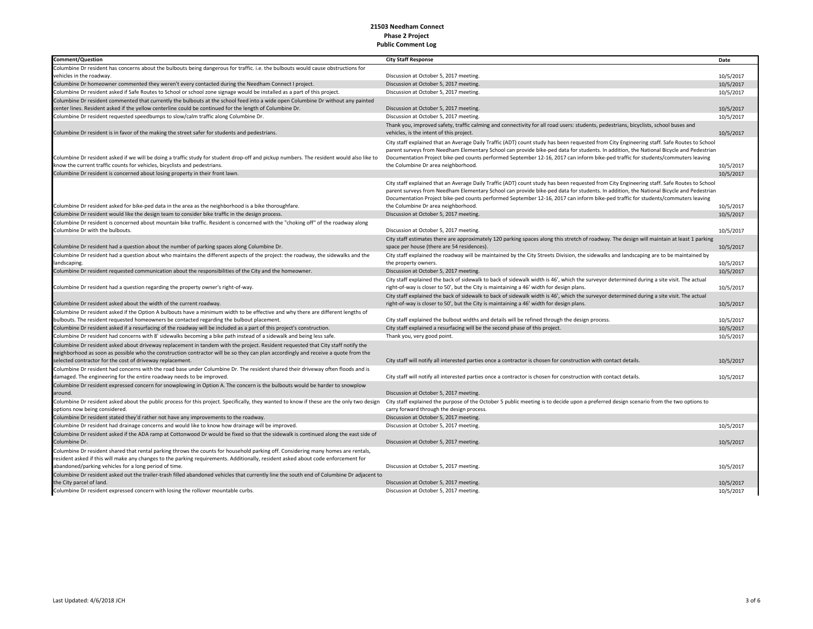| Columbine Dr resident has concerns about the bulbouts being dangerous for traffic. i.e. the bulbouts would cause obstructions for<br>vehicles in the roadway.<br>Discussion at October 5, 2017 meeting.<br>10/5/2017<br>Columbine Dr homeowner commented they weren't every contacted during the Needham Connect I project.<br>Discussion at October 5, 2017 meeting.<br>10/5/2017<br>Columbine Dr resident asked if Safe Routes to School or school zone signage would be installed as a part of this project.<br>Discussion at October 5, 2017 meeting.<br>10/5/2017<br>Columbine Dr resident commented that currently the bulbouts at the school feed into a wide open Columbine Dr without any painted<br>center lines. Resident asked if the yellow centerline could be continued for the length of Columbine Dr.<br>Discussion at October 5, 2017 meeting.<br>10/5/2017<br>Columbine Dr resident requested speedbumps to slow/calm traffic along Columbine Dr.<br>Discussion at October 5, 2017 meeting.<br>10/5/2017<br>Thank you, improved safety, traffic calming and connectivity for all road users: students, pedestrians, bicyclists, school buses and<br>Columbine Dr resident is in favor of the making the street safer for students and pedestrians.<br>vehicles, is the intent of this project.<br>10/5/2017<br>City staff explained that an Average Daily Traffic (ADT) count study has been requested from City Engineering staff. Safe Routes to School<br>parent surveys from Needham Elementary School can provide bike-ped data for students. In addition, the National Bicycle and Pedestrian<br>Columbine Dr resident asked if we will be doing a traffic study for student drop-off and pickup numbers. The resident would also like to<br>Documentation Project bike-ped counts performed September 12-16, 2017 can inform bike-ped traffic for students/commuters leaving<br>know the current traffic counts for vehicles, bicyclists and pedestrians.<br>the Columbine Dr area neighborhood.<br>10/5/2017<br>Columbine Dr resident is concerned about losing property in their front lawn.<br>10/5/2017<br>City staff explained that an Average Daily Traffic (ADT) count study has been requested from City Engineering staff. Safe Routes to School<br>parent surveys from Needham Elementary School can provide bike-ped data for students. In addition, the National Bicycle and Pedestrian<br>Documentation Project bike-ped counts performed September 12-16, 2017 can inform bike-ped traffic for students/commuters leaving<br>the Columbine Dr area neighborhood.<br>Columbine Dr resident asked for bike-ped data in the area as the neighborhood is a bike thoroughfare.<br>10/5/2017<br>Columbine Dr resident would like the design team to consider bike traffic in the design process.<br>Discussion at October 5, 2017 meeting.<br>10/5/2017<br>Columbine Dr resident is concerned about mountain bike traffic. Resident is concerned with the "choking off" of the roadway along<br>Columbine Dr with the bulbouts.<br>Discussion at October 5, 2017 meeting.<br>10/5/2017<br>City staff estimates there are approximately 120 parking spaces along this stretch of roadway. The design will maintain at least 1 parking<br>Columbine Dr resident had a question about the number of parking spaces along Columbine Dr.<br>space per house (there are 54 residences).<br>10/5/2017<br>Columbine Dr resident had a question about who maintains the different aspects of the project: the roadway, the sidewalks and the<br>City staff explained the roadway will be maintained by the City Streets Division, the sidewalks and landscaping are to be maintained by<br>landscaping.<br>the property owners.<br>10/5/2017<br>Columbine Dr resident requested communication about the responsibilities of the City and the homeowner.<br>10/5/2017<br>Discussion at October 5, 2017 meeting.<br>City staff explained the back of sidewalk to back of sidewalk width is 46', which the surveyor determined during a site visit. The actual<br>Columbine Dr resident had a question regarding the property owner's right-of-way.<br>right-of-way is closer to 50', but the City is maintaining a 46' width for design plans.<br>10/5/2017<br>City staff explained the back of sidewalk to back of sidewalk width is 46', which the surveyor determined during a site visit. The actual<br>Columbine Dr resident asked about the width of the current roadway.<br>right-of-way is closer to 50', but the City is maintaining a 46' width for design plans.<br>10/5/2017<br>Columbine Dr resident asked if the Option A bulbouts have a minimum width to be effective and why there are different lengths of<br>bulbouts. The resident requested homeowners be contacted regarding the bulbout placement.<br>City staff explained the bulbout widths and details will be refined through the design process.<br>10/5/2017<br>Columbine Dr resident asked if a resurfacing of the roadway will be included as a part of this project's construction.<br>City staff explained a resurfacing will be the second phase of this project.<br>10/5/2017<br>Columbine Dr resident had concerns with 8' sidewalks becoming a bike path instead of a sidewalk and being less safe.<br>Thank you, very good point.<br>10/5/2017<br>Columbine Dr resident asked about driveway replacement in tandem with the project. Resident requested that City staff notify the<br>neighborhood as soon as possible who the construction contractor will be so they can plan accordingly and receive a quote from the<br>selected contractor for the cost of driveway replacement.<br>City staff will notify all interested parties once a contractor is chosen for construction with contact details.<br>10/5/2017<br>Columbine Dr resident had concerns with the road base under Columbine Dr. The resident shared their driveway often floods and is<br>damaged. The engineering for the entire roadway needs to be improved.<br>City staff will notify all interested parties once a contractor is chosen for construction with contact details.<br>10/5/2017<br>Columbine Dr resident expressed concern for snowplowing in Option A. The concern is the bulbouts would be harder to snowplow<br>Discussion at October 5, 2017 meeting.<br>around.<br>Columbine Dr resident asked about the public process for this project. Specifically, they wanted to know if these are the only two design<br>City staff explained the purpose of the October 5 public meeting is to decide upon a preferred design scenario from the two options to<br>options now being considered.<br>carry forward through the design process.<br>Columbine Dr resident stated they'd rather not have any improvements to the roadway.<br>Discussion at October 5, 2017 meeting.<br>Columbine Dr resident had drainage concerns and would like to know how drainage will be improved.<br>Discussion at October 5, 2017 meeting.<br>10/5/2017<br>Columbine Dr resident asked if the ADA ramp at Cottonwood Dr would be fixed so that the sidewalk is continued along the east side of<br>Columbine Dr.<br>10/5/2017<br>Discussion at October 5, 2017 meeting.<br>Columbine Dr resident shared that rental parking throws the counts for household parking off. Considering many homes are rentals,<br>resident asked if this will make any changes to the parking requirements. Additionally, resident asked about code enforcement for<br>abandoned/parking vehicles for a long period of time.<br>Discussion at October 5, 2017 meeting.<br>10/5/2017<br>Columbine Dr resident asked out the trailer-trash filled abandoned vehicles that currently line the south end of Columbine Dr adjacent to<br>the City parcel of land.<br>Discussion at October 5, 2017 meeting.<br>10/5/2017<br>Columbine Dr resident expressed concern with losing the rollover mountable curbs.<br>Discussion at October 5, 2017 meeting.<br>10/5/2017 | <b>Comment/Question</b> | <b>City Staff Response</b> | Date |
|---------------------------------------------------------------------------------------------------------------------------------------------------------------------------------------------------------------------------------------------------------------------------------------------------------------------------------------------------------------------------------------------------------------------------------------------------------------------------------------------------------------------------------------------------------------------------------------------------------------------------------------------------------------------------------------------------------------------------------------------------------------------------------------------------------------------------------------------------------------------------------------------------------------------------------------------------------------------------------------------------------------------------------------------------------------------------------------------------------------------------------------------------------------------------------------------------------------------------------------------------------------------------------------------------------------------------------------------------------------------------------------------------------------------------------------------------------------------------------------------------------------------------------------------------------------------------------------------------------------------------------------------------------------------------------------------------------------------------------------------------------------------------------------------------------------------------------------------------------------------------------------------------------------------------------------------------------------------------------------------------------------------------------------------------------------------------------------------------------------------------------------------------------------------------------------------------------------------------------------------------------------------------------------------------------------------------------------------------------------------------------------------------------------------------------------------------------------------------------------------------------------------------------------------------------------------------------------------------------------------------------------------------------------------------------------------------------------------------------------------------------------------------------------------------------------------------------------------------------------------------------------------------------------------------------------------------------------------------------------------------------------------------------------------------------------------------------------------------------------------------------------------------------------------------------------------------------------------------------------------------------------------------------------------------------------------------------------------------------------------------------------------------------------------------------------------------------------------------------------------------------------------------------------------------------------------------------------------------------------------------------------------------------------------------------------------------------------------------------------------------------------------------------------------------------------------------------------------------------------------------------------------------------------------------------------------------------------------------------------------------------------------------------------------------------------------------------------------------------------------------------------------------------------------------------------------------------------------------------------------------------------------------------------------------------------------------------------------------------------------------------------------------------------------------------------------------------------------------------------------------------------------------------------------------------------------------------------------------------------------------------------------------------------------------------------------------------------------------------------------------------------------------------------------------------------------------------------------------------------------------------------------------------------------------------------------------------------------------------------------------------------------------------------------------------------------------------------------------------------------------------------------------------------------------------------------------------------------------------------------------------------------------------------------------------------------------------------------------------------------------------------------------------------------------------------------------------------------------------------------------------------------------------------------------------------------------------------------------------------------------------------------------------------------------------------------------------------------------------------------------------------------------------------------------------------------------------------------------------------------------------------------------------------------------------------------------------------------------------------------------------------------------------------------------------------------------------------------------------------------------------------------------------------------------------------------------------------------------------------------------------------------------------------------------------------------------------------------------------------------------------------------------------------------------------------------------------------------------------------------------------------------------------------------------------------------------------------------------------------------------------------------------------------------------------------------------------------------------------------------------------------------------------------------------------------------------------------------------------------------------------------------------------------------------------------------------------------------------------------------------------------------------------------------------------------------------------------------------------------------------------------------------------------------------------------------------------------------------------------------------------------------------------------------------------------------------------------------------------------------------------------------------------------------------------------------------------------------------------------------------------------------------------------------------------------------------------------------------------------------------------------------------------------------------------------------------------------------------------------------------------------------------------------------------------------------------------------------------------------------------------------------------------------------------------------------------------------------------------------------------------------------------------|-------------------------|----------------------------|------|
|                                                                                                                                                                                                                                                                                                                                                                                                                                                                                                                                                                                                                                                                                                                                                                                                                                                                                                                                                                                                                                                                                                                                                                                                                                                                                                                                                                                                                                                                                                                                                                                                                                                                                                                                                                                                                                                                                                                                                                                                                                                                                                                                                                                                                                                                                                                                                                                                                                                                                                                                                                                                                                                                                                                                                                                                                                                                                                                                                                                                                                                                                                                                                                                                                                                                                                                                                                                                                                                                                                                                                                                                                                                                                                                                                                                                                                                                                                                                                                                                                                                                                                                                                                                                                                                                                                                                                                                                                                                                                                                                                                                                                                                                                                                                                                                                                                                                                                                                                                                                                                                                                                                                                                                                                                                                                                                                                                                                                                                                                                                                                                                                                                                                                                                                                                                                                                                                                                                                                                                                                                                                                                                                                                                                                                                                                                                                                                                                                                                                                                                                                                                                                                                                                                                                                                                                                                                                                                                                                                                                                                                                                                                                                                                                                                                                                                                                                                                                                                                                                                                                                                                                                                                                                                                                                                                                                                                                                                                                                                                                                                 |                         |                            |      |
|                                                                                                                                                                                                                                                                                                                                                                                                                                                                                                                                                                                                                                                                                                                                                                                                                                                                                                                                                                                                                                                                                                                                                                                                                                                                                                                                                                                                                                                                                                                                                                                                                                                                                                                                                                                                                                                                                                                                                                                                                                                                                                                                                                                                                                                                                                                                                                                                                                                                                                                                                                                                                                                                                                                                                                                                                                                                                                                                                                                                                                                                                                                                                                                                                                                                                                                                                                                                                                                                                                                                                                                                                                                                                                                                                                                                                                                                                                                                                                                                                                                                                                                                                                                                                                                                                                                                                                                                                                                                                                                                                                                                                                                                                                                                                                                                                                                                                                                                                                                                                                                                                                                                                                                                                                                                                                                                                                                                                                                                                                                                                                                                                                                                                                                                                                                                                                                                                                                                                                                                                                                                                                                                                                                                                                                                                                                                                                                                                                                                                                                                                                                                                                                                                                                                                                                                                                                                                                                                                                                                                                                                                                                                                                                                                                                                                                                                                                                                                                                                                                                                                                                                                                                                                                                                                                                                                                                                                                                                                                                                                                 |                         |                            |      |
|                                                                                                                                                                                                                                                                                                                                                                                                                                                                                                                                                                                                                                                                                                                                                                                                                                                                                                                                                                                                                                                                                                                                                                                                                                                                                                                                                                                                                                                                                                                                                                                                                                                                                                                                                                                                                                                                                                                                                                                                                                                                                                                                                                                                                                                                                                                                                                                                                                                                                                                                                                                                                                                                                                                                                                                                                                                                                                                                                                                                                                                                                                                                                                                                                                                                                                                                                                                                                                                                                                                                                                                                                                                                                                                                                                                                                                                                                                                                                                                                                                                                                                                                                                                                                                                                                                                                                                                                                                                                                                                                                                                                                                                                                                                                                                                                                                                                                                                                                                                                                                                                                                                                                                                                                                                                                                                                                                                                                                                                                                                                                                                                                                                                                                                                                                                                                                                                                                                                                                                                                                                                                                                                                                                                                                                                                                                                                                                                                                                                                                                                                                                                                                                                                                                                                                                                                                                                                                                                                                                                                                                                                                                                                                                                                                                                                                                                                                                                                                                                                                                                                                                                                                                                                                                                                                                                                                                                                                                                                                                                                                 |                         |                            |      |
|                                                                                                                                                                                                                                                                                                                                                                                                                                                                                                                                                                                                                                                                                                                                                                                                                                                                                                                                                                                                                                                                                                                                                                                                                                                                                                                                                                                                                                                                                                                                                                                                                                                                                                                                                                                                                                                                                                                                                                                                                                                                                                                                                                                                                                                                                                                                                                                                                                                                                                                                                                                                                                                                                                                                                                                                                                                                                                                                                                                                                                                                                                                                                                                                                                                                                                                                                                                                                                                                                                                                                                                                                                                                                                                                                                                                                                                                                                                                                                                                                                                                                                                                                                                                                                                                                                                                                                                                                                                                                                                                                                                                                                                                                                                                                                                                                                                                                                                                                                                                                                                                                                                                                                                                                                                                                                                                                                                                                                                                                                                                                                                                                                                                                                                                                                                                                                                                                                                                                                                                                                                                                                                                                                                                                                                                                                                                                                                                                                                                                                                                                                                                                                                                                                                                                                                                                                                                                                                                                                                                                                                                                                                                                                                                                                                                                                                                                                                                                                                                                                                                                                                                                                                                                                                                                                                                                                                                                                                                                                                                                                 |                         |                            |      |
|                                                                                                                                                                                                                                                                                                                                                                                                                                                                                                                                                                                                                                                                                                                                                                                                                                                                                                                                                                                                                                                                                                                                                                                                                                                                                                                                                                                                                                                                                                                                                                                                                                                                                                                                                                                                                                                                                                                                                                                                                                                                                                                                                                                                                                                                                                                                                                                                                                                                                                                                                                                                                                                                                                                                                                                                                                                                                                                                                                                                                                                                                                                                                                                                                                                                                                                                                                                                                                                                                                                                                                                                                                                                                                                                                                                                                                                                                                                                                                                                                                                                                                                                                                                                                                                                                                                                                                                                                                                                                                                                                                                                                                                                                                                                                                                                                                                                                                                                                                                                                                                                                                                                                                                                                                                                                                                                                                                                                                                                                                                                                                                                                                                                                                                                                                                                                                                                                                                                                                                                                                                                                                                                                                                                                                                                                                                                                                                                                                                                                                                                                                                                                                                                                                                                                                                                                                                                                                                                                                                                                                                                                                                                                                                                                                                                                                                                                                                                                                                                                                                                                                                                                                                                                                                                                                                                                                                                                                                                                                                                                                 |                         |                            |      |
|                                                                                                                                                                                                                                                                                                                                                                                                                                                                                                                                                                                                                                                                                                                                                                                                                                                                                                                                                                                                                                                                                                                                                                                                                                                                                                                                                                                                                                                                                                                                                                                                                                                                                                                                                                                                                                                                                                                                                                                                                                                                                                                                                                                                                                                                                                                                                                                                                                                                                                                                                                                                                                                                                                                                                                                                                                                                                                                                                                                                                                                                                                                                                                                                                                                                                                                                                                                                                                                                                                                                                                                                                                                                                                                                                                                                                                                                                                                                                                                                                                                                                                                                                                                                                                                                                                                                                                                                                                                                                                                                                                                                                                                                                                                                                                                                                                                                                                                                                                                                                                                                                                                                                                                                                                                                                                                                                                                                                                                                                                                                                                                                                                                                                                                                                                                                                                                                                                                                                                                                                                                                                                                                                                                                                                                                                                                                                                                                                                                                                                                                                                                                                                                                                                                                                                                                                                                                                                                                                                                                                                                                                                                                                                                                                                                                                                                                                                                                                                                                                                                                                                                                                                                                                                                                                                                                                                                                                                                                                                                                                                 |                         |                            |      |
|                                                                                                                                                                                                                                                                                                                                                                                                                                                                                                                                                                                                                                                                                                                                                                                                                                                                                                                                                                                                                                                                                                                                                                                                                                                                                                                                                                                                                                                                                                                                                                                                                                                                                                                                                                                                                                                                                                                                                                                                                                                                                                                                                                                                                                                                                                                                                                                                                                                                                                                                                                                                                                                                                                                                                                                                                                                                                                                                                                                                                                                                                                                                                                                                                                                                                                                                                                                                                                                                                                                                                                                                                                                                                                                                                                                                                                                                                                                                                                                                                                                                                                                                                                                                                                                                                                                                                                                                                                                                                                                                                                                                                                                                                                                                                                                                                                                                                                                                                                                                                                                                                                                                                                                                                                                                                                                                                                                                                                                                                                                                                                                                                                                                                                                                                                                                                                                                                                                                                                                                                                                                                                                                                                                                                                                                                                                                                                                                                                                                                                                                                                                                                                                                                                                                                                                                                                                                                                                                                                                                                                                                                                                                                                                                                                                                                                                                                                                                                                                                                                                                                                                                                                                                                                                                                                                                                                                                                                                                                                                                                                 |                         |                            |      |
|                                                                                                                                                                                                                                                                                                                                                                                                                                                                                                                                                                                                                                                                                                                                                                                                                                                                                                                                                                                                                                                                                                                                                                                                                                                                                                                                                                                                                                                                                                                                                                                                                                                                                                                                                                                                                                                                                                                                                                                                                                                                                                                                                                                                                                                                                                                                                                                                                                                                                                                                                                                                                                                                                                                                                                                                                                                                                                                                                                                                                                                                                                                                                                                                                                                                                                                                                                                                                                                                                                                                                                                                                                                                                                                                                                                                                                                                                                                                                                                                                                                                                                                                                                                                                                                                                                                                                                                                                                                                                                                                                                                                                                                                                                                                                                                                                                                                                                                                                                                                                                                                                                                                                                                                                                                                                                                                                                                                                                                                                                                                                                                                                                                                                                                                                                                                                                                                                                                                                                                                                                                                                                                                                                                                                                                                                                                                                                                                                                                                                                                                                                                                                                                                                                                                                                                                                                                                                                                                                                                                                                                                                                                                                                                                                                                                                                                                                                                                                                                                                                                                                                                                                                                                                                                                                                                                                                                                                                                                                                                                                                 |                         |                            |      |
|                                                                                                                                                                                                                                                                                                                                                                                                                                                                                                                                                                                                                                                                                                                                                                                                                                                                                                                                                                                                                                                                                                                                                                                                                                                                                                                                                                                                                                                                                                                                                                                                                                                                                                                                                                                                                                                                                                                                                                                                                                                                                                                                                                                                                                                                                                                                                                                                                                                                                                                                                                                                                                                                                                                                                                                                                                                                                                                                                                                                                                                                                                                                                                                                                                                                                                                                                                                                                                                                                                                                                                                                                                                                                                                                                                                                                                                                                                                                                                                                                                                                                                                                                                                                                                                                                                                                                                                                                                                                                                                                                                                                                                                                                                                                                                                                                                                                                                                                                                                                                                                                                                                                                                                                                                                                                                                                                                                                                                                                                                                                                                                                                                                                                                                                                                                                                                                                                                                                                                                                                                                                                                                                                                                                                                                                                                                                                                                                                                                                                                                                                                                                                                                                                                                                                                                                                                                                                                                                                                                                                                                                                                                                                                                                                                                                                                                                                                                                                                                                                                                                                                                                                                                                                                                                                                                                                                                                                                                                                                                                                                 |                         |                            |      |
|                                                                                                                                                                                                                                                                                                                                                                                                                                                                                                                                                                                                                                                                                                                                                                                                                                                                                                                                                                                                                                                                                                                                                                                                                                                                                                                                                                                                                                                                                                                                                                                                                                                                                                                                                                                                                                                                                                                                                                                                                                                                                                                                                                                                                                                                                                                                                                                                                                                                                                                                                                                                                                                                                                                                                                                                                                                                                                                                                                                                                                                                                                                                                                                                                                                                                                                                                                                                                                                                                                                                                                                                                                                                                                                                                                                                                                                                                                                                                                                                                                                                                                                                                                                                                                                                                                                                                                                                                                                                                                                                                                                                                                                                                                                                                                                                                                                                                                                                                                                                                                                                                                                                                                                                                                                                                                                                                                                                                                                                                                                                                                                                                                                                                                                                                                                                                                                                                                                                                                                                                                                                                                                                                                                                                                                                                                                                                                                                                                                                                                                                                                                                                                                                                                                                                                                                                                                                                                                                                                                                                                                                                                                                                                                                                                                                                                                                                                                                                                                                                                                                                                                                                                                                                                                                                                                                                                                                                                                                                                                                                                 |                         |                            |      |
|                                                                                                                                                                                                                                                                                                                                                                                                                                                                                                                                                                                                                                                                                                                                                                                                                                                                                                                                                                                                                                                                                                                                                                                                                                                                                                                                                                                                                                                                                                                                                                                                                                                                                                                                                                                                                                                                                                                                                                                                                                                                                                                                                                                                                                                                                                                                                                                                                                                                                                                                                                                                                                                                                                                                                                                                                                                                                                                                                                                                                                                                                                                                                                                                                                                                                                                                                                                                                                                                                                                                                                                                                                                                                                                                                                                                                                                                                                                                                                                                                                                                                                                                                                                                                                                                                                                                                                                                                                                                                                                                                                                                                                                                                                                                                                                                                                                                                                                                                                                                                                                                                                                                                                                                                                                                                                                                                                                                                                                                                                                                                                                                                                                                                                                                                                                                                                                                                                                                                                                                                                                                                                                                                                                                                                                                                                                                                                                                                                                                                                                                                                                                                                                                                                                                                                                                                                                                                                                                                                                                                                                                                                                                                                                                                                                                                                                                                                                                                                                                                                                                                                                                                                                                                                                                                                                                                                                                                                                                                                                                                                 |                         |                            |      |
|                                                                                                                                                                                                                                                                                                                                                                                                                                                                                                                                                                                                                                                                                                                                                                                                                                                                                                                                                                                                                                                                                                                                                                                                                                                                                                                                                                                                                                                                                                                                                                                                                                                                                                                                                                                                                                                                                                                                                                                                                                                                                                                                                                                                                                                                                                                                                                                                                                                                                                                                                                                                                                                                                                                                                                                                                                                                                                                                                                                                                                                                                                                                                                                                                                                                                                                                                                                                                                                                                                                                                                                                                                                                                                                                                                                                                                                                                                                                                                                                                                                                                                                                                                                                                                                                                                                                                                                                                                                                                                                                                                                                                                                                                                                                                                                                                                                                                                                                                                                                                                                                                                                                                                                                                                                                                                                                                                                                                                                                                                                                                                                                                                                                                                                                                                                                                                                                                                                                                                                                                                                                                                                                                                                                                                                                                                                                                                                                                                                                                                                                                                                                                                                                                                                                                                                                                                                                                                                                                                                                                                                                                                                                                                                                                                                                                                                                                                                                                                                                                                                                                                                                                                                                                                                                                                                                                                                                                                                                                                                                                                 |                         |                            |      |
|                                                                                                                                                                                                                                                                                                                                                                                                                                                                                                                                                                                                                                                                                                                                                                                                                                                                                                                                                                                                                                                                                                                                                                                                                                                                                                                                                                                                                                                                                                                                                                                                                                                                                                                                                                                                                                                                                                                                                                                                                                                                                                                                                                                                                                                                                                                                                                                                                                                                                                                                                                                                                                                                                                                                                                                                                                                                                                                                                                                                                                                                                                                                                                                                                                                                                                                                                                                                                                                                                                                                                                                                                                                                                                                                                                                                                                                                                                                                                                                                                                                                                                                                                                                                                                                                                                                                                                                                                                                                                                                                                                                                                                                                                                                                                                                                                                                                                                                                                                                                                                                                                                                                                                                                                                                                                                                                                                                                                                                                                                                                                                                                                                                                                                                                                                                                                                                                                                                                                                                                                                                                                                                                                                                                                                                                                                                                                                                                                                                                                                                                                                                                                                                                                                                                                                                                                                                                                                                                                                                                                                                                                                                                                                                                                                                                                                                                                                                                                                                                                                                                                                                                                                                                                                                                                                                                                                                                                                                                                                                                                                 |                         |                            |      |
|                                                                                                                                                                                                                                                                                                                                                                                                                                                                                                                                                                                                                                                                                                                                                                                                                                                                                                                                                                                                                                                                                                                                                                                                                                                                                                                                                                                                                                                                                                                                                                                                                                                                                                                                                                                                                                                                                                                                                                                                                                                                                                                                                                                                                                                                                                                                                                                                                                                                                                                                                                                                                                                                                                                                                                                                                                                                                                                                                                                                                                                                                                                                                                                                                                                                                                                                                                                                                                                                                                                                                                                                                                                                                                                                                                                                                                                                                                                                                                                                                                                                                                                                                                                                                                                                                                                                                                                                                                                                                                                                                                                                                                                                                                                                                                                                                                                                                                                                                                                                                                                                                                                                                                                                                                                                                                                                                                                                                                                                                                                                                                                                                                                                                                                                                                                                                                                                                                                                                                                                                                                                                                                                                                                                                                                                                                                                                                                                                                                                                                                                                                                                                                                                                                                                                                                                                                                                                                                                                                                                                                                                                                                                                                                                                                                                                                                                                                                                                                                                                                                                                                                                                                                                                                                                                                                                                                                                                                                                                                                                                                 |                         |                            |      |
|                                                                                                                                                                                                                                                                                                                                                                                                                                                                                                                                                                                                                                                                                                                                                                                                                                                                                                                                                                                                                                                                                                                                                                                                                                                                                                                                                                                                                                                                                                                                                                                                                                                                                                                                                                                                                                                                                                                                                                                                                                                                                                                                                                                                                                                                                                                                                                                                                                                                                                                                                                                                                                                                                                                                                                                                                                                                                                                                                                                                                                                                                                                                                                                                                                                                                                                                                                                                                                                                                                                                                                                                                                                                                                                                                                                                                                                                                                                                                                                                                                                                                                                                                                                                                                                                                                                                                                                                                                                                                                                                                                                                                                                                                                                                                                                                                                                                                                                                                                                                                                                                                                                                                                                                                                                                                                                                                                                                                                                                                                                                                                                                                                                                                                                                                                                                                                                                                                                                                                                                                                                                                                                                                                                                                                                                                                                                                                                                                                                                                                                                                                                                                                                                                                                                                                                                                                                                                                                                                                                                                                                                                                                                                                                                                                                                                                                                                                                                                                                                                                                                                                                                                                                                                                                                                                                                                                                                                                                                                                                                                                 |                         |                            |      |
|                                                                                                                                                                                                                                                                                                                                                                                                                                                                                                                                                                                                                                                                                                                                                                                                                                                                                                                                                                                                                                                                                                                                                                                                                                                                                                                                                                                                                                                                                                                                                                                                                                                                                                                                                                                                                                                                                                                                                                                                                                                                                                                                                                                                                                                                                                                                                                                                                                                                                                                                                                                                                                                                                                                                                                                                                                                                                                                                                                                                                                                                                                                                                                                                                                                                                                                                                                                                                                                                                                                                                                                                                                                                                                                                                                                                                                                                                                                                                                                                                                                                                                                                                                                                                                                                                                                                                                                                                                                                                                                                                                                                                                                                                                                                                                                                                                                                                                                                                                                                                                                                                                                                                                                                                                                                                                                                                                                                                                                                                                                                                                                                                                                                                                                                                                                                                                                                                                                                                                                                                                                                                                                                                                                                                                                                                                                                                                                                                                                                                                                                                                                                                                                                                                                                                                                                                                                                                                                                                                                                                                                                                                                                                                                                                                                                                                                                                                                                                                                                                                                                                                                                                                                                                                                                                                                                                                                                                                                                                                                                                                 |                         |                            |      |
|                                                                                                                                                                                                                                                                                                                                                                                                                                                                                                                                                                                                                                                                                                                                                                                                                                                                                                                                                                                                                                                                                                                                                                                                                                                                                                                                                                                                                                                                                                                                                                                                                                                                                                                                                                                                                                                                                                                                                                                                                                                                                                                                                                                                                                                                                                                                                                                                                                                                                                                                                                                                                                                                                                                                                                                                                                                                                                                                                                                                                                                                                                                                                                                                                                                                                                                                                                                                                                                                                                                                                                                                                                                                                                                                                                                                                                                                                                                                                                                                                                                                                                                                                                                                                                                                                                                                                                                                                                                                                                                                                                                                                                                                                                                                                                                                                                                                                                                                                                                                                                                                                                                                                                                                                                                                                                                                                                                                                                                                                                                                                                                                                                                                                                                                                                                                                                                                                                                                                                                                                                                                                                                                                                                                                                                                                                                                                                                                                                                                                                                                                                                                                                                                                                                                                                                                                                                                                                                                                                                                                                                                                                                                                                                                                                                                                                                                                                                                                                                                                                                                                                                                                                                                                                                                                                                                                                                                                                                                                                                                                                 |                         |                            |      |
|                                                                                                                                                                                                                                                                                                                                                                                                                                                                                                                                                                                                                                                                                                                                                                                                                                                                                                                                                                                                                                                                                                                                                                                                                                                                                                                                                                                                                                                                                                                                                                                                                                                                                                                                                                                                                                                                                                                                                                                                                                                                                                                                                                                                                                                                                                                                                                                                                                                                                                                                                                                                                                                                                                                                                                                                                                                                                                                                                                                                                                                                                                                                                                                                                                                                                                                                                                                                                                                                                                                                                                                                                                                                                                                                                                                                                                                                                                                                                                                                                                                                                                                                                                                                                                                                                                                                                                                                                                                                                                                                                                                                                                                                                                                                                                                                                                                                                                                                                                                                                                                                                                                                                                                                                                                                                                                                                                                                                                                                                                                                                                                                                                                                                                                                                                                                                                                                                                                                                                                                                                                                                                                                                                                                                                                                                                                                                                                                                                                                                                                                                                                                                                                                                                                                                                                                                                                                                                                                                                                                                                                                                                                                                                                                                                                                                                                                                                                                                                                                                                                                                                                                                                                                                                                                                                                                                                                                                                                                                                                                                                 |                         |                            |      |
|                                                                                                                                                                                                                                                                                                                                                                                                                                                                                                                                                                                                                                                                                                                                                                                                                                                                                                                                                                                                                                                                                                                                                                                                                                                                                                                                                                                                                                                                                                                                                                                                                                                                                                                                                                                                                                                                                                                                                                                                                                                                                                                                                                                                                                                                                                                                                                                                                                                                                                                                                                                                                                                                                                                                                                                                                                                                                                                                                                                                                                                                                                                                                                                                                                                                                                                                                                                                                                                                                                                                                                                                                                                                                                                                                                                                                                                                                                                                                                                                                                                                                                                                                                                                                                                                                                                                                                                                                                                                                                                                                                                                                                                                                                                                                                                                                                                                                                                                                                                                                                                                                                                                                                                                                                                                                                                                                                                                                                                                                                                                                                                                                                                                                                                                                                                                                                                                                                                                                                                                                                                                                                                                                                                                                                                                                                                                                                                                                                                                                                                                                                                                                                                                                                                                                                                                                                                                                                                                                                                                                                                                                                                                                                                                                                                                                                                                                                                                                                                                                                                                                                                                                                                                                                                                                                                                                                                                                                                                                                                                                                 |                         |                            |      |
|                                                                                                                                                                                                                                                                                                                                                                                                                                                                                                                                                                                                                                                                                                                                                                                                                                                                                                                                                                                                                                                                                                                                                                                                                                                                                                                                                                                                                                                                                                                                                                                                                                                                                                                                                                                                                                                                                                                                                                                                                                                                                                                                                                                                                                                                                                                                                                                                                                                                                                                                                                                                                                                                                                                                                                                                                                                                                                                                                                                                                                                                                                                                                                                                                                                                                                                                                                                                                                                                                                                                                                                                                                                                                                                                                                                                                                                                                                                                                                                                                                                                                                                                                                                                                                                                                                                                                                                                                                                                                                                                                                                                                                                                                                                                                                                                                                                                                                                                                                                                                                                                                                                                                                                                                                                                                                                                                                                                                                                                                                                                                                                                                                                                                                                                                                                                                                                                                                                                                                                                                                                                                                                                                                                                                                                                                                                                                                                                                                                                                                                                                                                                                                                                                                                                                                                                                                                                                                                                                                                                                                                                                                                                                                                                                                                                                                                                                                                                                                                                                                                                                                                                                                                                                                                                                                                                                                                                                                                                                                                                                                 |                         |                            |      |
|                                                                                                                                                                                                                                                                                                                                                                                                                                                                                                                                                                                                                                                                                                                                                                                                                                                                                                                                                                                                                                                                                                                                                                                                                                                                                                                                                                                                                                                                                                                                                                                                                                                                                                                                                                                                                                                                                                                                                                                                                                                                                                                                                                                                                                                                                                                                                                                                                                                                                                                                                                                                                                                                                                                                                                                                                                                                                                                                                                                                                                                                                                                                                                                                                                                                                                                                                                                                                                                                                                                                                                                                                                                                                                                                                                                                                                                                                                                                                                                                                                                                                                                                                                                                                                                                                                                                                                                                                                                                                                                                                                                                                                                                                                                                                                                                                                                                                                                                                                                                                                                                                                                                                                                                                                                                                                                                                                                                                                                                                                                                                                                                                                                                                                                                                                                                                                                                                                                                                                                                                                                                                                                                                                                                                                                                                                                                                                                                                                                                                                                                                                                                                                                                                                                                                                                                                                                                                                                                                                                                                                                                                                                                                                                                                                                                                                                                                                                                                                                                                                                                                                                                                                                                                                                                                                                                                                                                                                                                                                                                                                 |                         |                            |      |
|                                                                                                                                                                                                                                                                                                                                                                                                                                                                                                                                                                                                                                                                                                                                                                                                                                                                                                                                                                                                                                                                                                                                                                                                                                                                                                                                                                                                                                                                                                                                                                                                                                                                                                                                                                                                                                                                                                                                                                                                                                                                                                                                                                                                                                                                                                                                                                                                                                                                                                                                                                                                                                                                                                                                                                                                                                                                                                                                                                                                                                                                                                                                                                                                                                                                                                                                                                                                                                                                                                                                                                                                                                                                                                                                                                                                                                                                                                                                                                                                                                                                                                                                                                                                                                                                                                                                                                                                                                                                                                                                                                                                                                                                                                                                                                                                                                                                                                                                                                                                                                                                                                                                                                                                                                                                                                                                                                                                                                                                                                                                                                                                                                                                                                                                                                                                                                                                                                                                                                                                                                                                                                                                                                                                                                                                                                                                                                                                                                                                                                                                                                                                                                                                                                                                                                                                                                                                                                                                                                                                                                                                                                                                                                                                                                                                                                                                                                                                                                                                                                                                                                                                                                                                                                                                                                                                                                                                                                                                                                                                                                 |                         |                            |      |
|                                                                                                                                                                                                                                                                                                                                                                                                                                                                                                                                                                                                                                                                                                                                                                                                                                                                                                                                                                                                                                                                                                                                                                                                                                                                                                                                                                                                                                                                                                                                                                                                                                                                                                                                                                                                                                                                                                                                                                                                                                                                                                                                                                                                                                                                                                                                                                                                                                                                                                                                                                                                                                                                                                                                                                                                                                                                                                                                                                                                                                                                                                                                                                                                                                                                                                                                                                                                                                                                                                                                                                                                                                                                                                                                                                                                                                                                                                                                                                                                                                                                                                                                                                                                                                                                                                                                                                                                                                                                                                                                                                                                                                                                                                                                                                                                                                                                                                                                                                                                                                                                                                                                                                                                                                                                                                                                                                                                                                                                                                                                                                                                                                                                                                                                                                                                                                                                                                                                                                                                                                                                                                                                                                                                                                                                                                                                                                                                                                                                                                                                                                                                                                                                                                                                                                                                                                                                                                                                                                                                                                                                                                                                                                                                                                                                                                                                                                                                                                                                                                                                                                                                                                                                                                                                                                                                                                                                                                                                                                                                                                 |                         |                            |      |
|                                                                                                                                                                                                                                                                                                                                                                                                                                                                                                                                                                                                                                                                                                                                                                                                                                                                                                                                                                                                                                                                                                                                                                                                                                                                                                                                                                                                                                                                                                                                                                                                                                                                                                                                                                                                                                                                                                                                                                                                                                                                                                                                                                                                                                                                                                                                                                                                                                                                                                                                                                                                                                                                                                                                                                                                                                                                                                                                                                                                                                                                                                                                                                                                                                                                                                                                                                                                                                                                                                                                                                                                                                                                                                                                                                                                                                                                                                                                                                                                                                                                                                                                                                                                                                                                                                                                                                                                                                                                                                                                                                                                                                                                                                                                                                                                                                                                                                                                                                                                                                                                                                                                                                                                                                                                                                                                                                                                                                                                                                                                                                                                                                                                                                                                                                                                                                                                                                                                                                                                                                                                                                                                                                                                                                                                                                                                                                                                                                                                                                                                                                                                                                                                                                                                                                                                                                                                                                                                                                                                                                                                                                                                                                                                                                                                                                                                                                                                                                                                                                                                                                                                                                                                                                                                                                                                                                                                                                                                                                                                                                 |                         |                            |      |
|                                                                                                                                                                                                                                                                                                                                                                                                                                                                                                                                                                                                                                                                                                                                                                                                                                                                                                                                                                                                                                                                                                                                                                                                                                                                                                                                                                                                                                                                                                                                                                                                                                                                                                                                                                                                                                                                                                                                                                                                                                                                                                                                                                                                                                                                                                                                                                                                                                                                                                                                                                                                                                                                                                                                                                                                                                                                                                                                                                                                                                                                                                                                                                                                                                                                                                                                                                                                                                                                                                                                                                                                                                                                                                                                                                                                                                                                                                                                                                                                                                                                                                                                                                                                                                                                                                                                                                                                                                                                                                                                                                                                                                                                                                                                                                                                                                                                                                                                                                                                                                                                                                                                                                                                                                                                                                                                                                                                                                                                                                                                                                                                                                                                                                                                                                                                                                                                                                                                                                                                                                                                                                                                                                                                                                                                                                                                                                                                                                                                                                                                                                                                                                                                                                                                                                                                                                                                                                                                                                                                                                                                                                                                                                                                                                                                                                                                                                                                                                                                                                                                                                                                                                                                                                                                                                                                                                                                                                                                                                                                                                 |                         |                            |      |
|                                                                                                                                                                                                                                                                                                                                                                                                                                                                                                                                                                                                                                                                                                                                                                                                                                                                                                                                                                                                                                                                                                                                                                                                                                                                                                                                                                                                                                                                                                                                                                                                                                                                                                                                                                                                                                                                                                                                                                                                                                                                                                                                                                                                                                                                                                                                                                                                                                                                                                                                                                                                                                                                                                                                                                                                                                                                                                                                                                                                                                                                                                                                                                                                                                                                                                                                                                                                                                                                                                                                                                                                                                                                                                                                                                                                                                                                                                                                                                                                                                                                                                                                                                                                                                                                                                                                                                                                                                                                                                                                                                                                                                                                                                                                                                                                                                                                                                                                                                                                                                                                                                                                                                                                                                                                                                                                                                                                                                                                                                                                                                                                                                                                                                                                                                                                                                                                                                                                                                                                                                                                                                                                                                                                                                                                                                                                                                                                                                                                                                                                                                                                                                                                                                                                                                                                                                                                                                                                                                                                                                                                                                                                                                                                                                                                                                                                                                                                                                                                                                                                                                                                                                                                                                                                                                                                                                                                                                                                                                                                                                 |                         |                            |      |
|                                                                                                                                                                                                                                                                                                                                                                                                                                                                                                                                                                                                                                                                                                                                                                                                                                                                                                                                                                                                                                                                                                                                                                                                                                                                                                                                                                                                                                                                                                                                                                                                                                                                                                                                                                                                                                                                                                                                                                                                                                                                                                                                                                                                                                                                                                                                                                                                                                                                                                                                                                                                                                                                                                                                                                                                                                                                                                                                                                                                                                                                                                                                                                                                                                                                                                                                                                                                                                                                                                                                                                                                                                                                                                                                                                                                                                                                                                                                                                                                                                                                                                                                                                                                                                                                                                                                                                                                                                                                                                                                                                                                                                                                                                                                                                                                                                                                                                                                                                                                                                                                                                                                                                                                                                                                                                                                                                                                                                                                                                                                                                                                                                                                                                                                                                                                                                                                                                                                                                                                                                                                                                                                                                                                                                                                                                                                                                                                                                                                                                                                                                                                                                                                                                                                                                                                                                                                                                                                                                                                                                                                                                                                                                                                                                                                                                                                                                                                                                                                                                                                                                                                                                                                                                                                                                                                                                                                                                                                                                                                                                 |                         |                            |      |
|                                                                                                                                                                                                                                                                                                                                                                                                                                                                                                                                                                                                                                                                                                                                                                                                                                                                                                                                                                                                                                                                                                                                                                                                                                                                                                                                                                                                                                                                                                                                                                                                                                                                                                                                                                                                                                                                                                                                                                                                                                                                                                                                                                                                                                                                                                                                                                                                                                                                                                                                                                                                                                                                                                                                                                                                                                                                                                                                                                                                                                                                                                                                                                                                                                                                                                                                                                                                                                                                                                                                                                                                                                                                                                                                                                                                                                                                                                                                                                                                                                                                                                                                                                                                                                                                                                                                                                                                                                                                                                                                                                                                                                                                                                                                                                                                                                                                                                                                                                                                                                                                                                                                                                                                                                                                                                                                                                                                                                                                                                                                                                                                                                                                                                                                                                                                                                                                                                                                                                                                                                                                                                                                                                                                                                                                                                                                                                                                                                                                                                                                                                                                                                                                                                                                                                                                                                                                                                                                                                                                                                                                                                                                                                                                                                                                                                                                                                                                                                                                                                                                                                                                                                                                                                                                                                                                                                                                                                                                                                                                                                 |                         |                            |      |
|                                                                                                                                                                                                                                                                                                                                                                                                                                                                                                                                                                                                                                                                                                                                                                                                                                                                                                                                                                                                                                                                                                                                                                                                                                                                                                                                                                                                                                                                                                                                                                                                                                                                                                                                                                                                                                                                                                                                                                                                                                                                                                                                                                                                                                                                                                                                                                                                                                                                                                                                                                                                                                                                                                                                                                                                                                                                                                                                                                                                                                                                                                                                                                                                                                                                                                                                                                                                                                                                                                                                                                                                                                                                                                                                                                                                                                                                                                                                                                                                                                                                                                                                                                                                                                                                                                                                                                                                                                                                                                                                                                                                                                                                                                                                                                                                                                                                                                                                                                                                                                                                                                                                                                                                                                                                                                                                                                                                                                                                                                                                                                                                                                                                                                                                                                                                                                                                                                                                                                                                                                                                                                                                                                                                                                                                                                                                                                                                                                                                                                                                                                                                                                                                                                                                                                                                                                                                                                                                                                                                                                                                                                                                                                                                                                                                                                                                                                                                                                                                                                                                                                                                                                                                                                                                                                                                                                                                                                                                                                                                                                 |                         |                            |      |
|                                                                                                                                                                                                                                                                                                                                                                                                                                                                                                                                                                                                                                                                                                                                                                                                                                                                                                                                                                                                                                                                                                                                                                                                                                                                                                                                                                                                                                                                                                                                                                                                                                                                                                                                                                                                                                                                                                                                                                                                                                                                                                                                                                                                                                                                                                                                                                                                                                                                                                                                                                                                                                                                                                                                                                                                                                                                                                                                                                                                                                                                                                                                                                                                                                                                                                                                                                                                                                                                                                                                                                                                                                                                                                                                                                                                                                                                                                                                                                                                                                                                                                                                                                                                                                                                                                                                                                                                                                                                                                                                                                                                                                                                                                                                                                                                                                                                                                                                                                                                                                                                                                                                                                                                                                                                                                                                                                                                                                                                                                                                                                                                                                                                                                                                                                                                                                                                                                                                                                                                                                                                                                                                                                                                                                                                                                                                                                                                                                                                                                                                                                                                                                                                                                                                                                                                                                                                                                                                                                                                                                                                                                                                                                                                                                                                                                                                                                                                                                                                                                                                                                                                                                                                                                                                                                                                                                                                                                                                                                                                                                 |                         |                            |      |
|                                                                                                                                                                                                                                                                                                                                                                                                                                                                                                                                                                                                                                                                                                                                                                                                                                                                                                                                                                                                                                                                                                                                                                                                                                                                                                                                                                                                                                                                                                                                                                                                                                                                                                                                                                                                                                                                                                                                                                                                                                                                                                                                                                                                                                                                                                                                                                                                                                                                                                                                                                                                                                                                                                                                                                                                                                                                                                                                                                                                                                                                                                                                                                                                                                                                                                                                                                                                                                                                                                                                                                                                                                                                                                                                                                                                                                                                                                                                                                                                                                                                                                                                                                                                                                                                                                                                                                                                                                                                                                                                                                                                                                                                                                                                                                                                                                                                                                                                                                                                                                                                                                                                                                                                                                                                                                                                                                                                                                                                                                                                                                                                                                                                                                                                                                                                                                                                                                                                                                                                                                                                                                                                                                                                                                                                                                                                                                                                                                                                                                                                                                                                                                                                                                                                                                                                                                                                                                                                                                                                                                                                                                                                                                                                                                                                                                                                                                                                                                                                                                                                                                                                                                                                                                                                                                                                                                                                                                                                                                                                                                 |                         |                            |      |
|                                                                                                                                                                                                                                                                                                                                                                                                                                                                                                                                                                                                                                                                                                                                                                                                                                                                                                                                                                                                                                                                                                                                                                                                                                                                                                                                                                                                                                                                                                                                                                                                                                                                                                                                                                                                                                                                                                                                                                                                                                                                                                                                                                                                                                                                                                                                                                                                                                                                                                                                                                                                                                                                                                                                                                                                                                                                                                                                                                                                                                                                                                                                                                                                                                                                                                                                                                                                                                                                                                                                                                                                                                                                                                                                                                                                                                                                                                                                                                                                                                                                                                                                                                                                                                                                                                                                                                                                                                                                                                                                                                                                                                                                                                                                                                                                                                                                                                                                                                                                                                                                                                                                                                                                                                                                                                                                                                                                                                                                                                                                                                                                                                                                                                                                                                                                                                                                                                                                                                                                                                                                                                                                                                                                                                                                                                                                                                                                                                                                                                                                                                                                                                                                                                                                                                                                                                                                                                                                                                                                                                                                                                                                                                                                                                                                                                                                                                                                                                                                                                                                                                                                                                                                                                                                                                                                                                                                                                                                                                                                                                 |                         |                            |      |
|                                                                                                                                                                                                                                                                                                                                                                                                                                                                                                                                                                                                                                                                                                                                                                                                                                                                                                                                                                                                                                                                                                                                                                                                                                                                                                                                                                                                                                                                                                                                                                                                                                                                                                                                                                                                                                                                                                                                                                                                                                                                                                                                                                                                                                                                                                                                                                                                                                                                                                                                                                                                                                                                                                                                                                                                                                                                                                                                                                                                                                                                                                                                                                                                                                                                                                                                                                                                                                                                                                                                                                                                                                                                                                                                                                                                                                                                                                                                                                                                                                                                                                                                                                                                                                                                                                                                                                                                                                                                                                                                                                                                                                                                                                                                                                                                                                                                                                                                                                                                                                                                                                                                                                                                                                                                                                                                                                                                                                                                                                                                                                                                                                                                                                                                                                                                                                                                                                                                                                                                                                                                                                                                                                                                                                                                                                                                                                                                                                                                                                                                                                                                                                                                                                                                                                                                                                                                                                                                                                                                                                                                                                                                                                                                                                                                                                                                                                                                                                                                                                                                                                                                                                                                                                                                                                                                                                                                                                                                                                                                                                 |                         |                            |      |
|                                                                                                                                                                                                                                                                                                                                                                                                                                                                                                                                                                                                                                                                                                                                                                                                                                                                                                                                                                                                                                                                                                                                                                                                                                                                                                                                                                                                                                                                                                                                                                                                                                                                                                                                                                                                                                                                                                                                                                                                                                                                                                                                                                                                                                                                                                                                                                                                                                                                                                                                                                                                                                                                                                                                                                                                                                                                                                                                                                                                                                                                                                                                                                                                                                                                                                                                                                                                                                                                                                                                                                                                                                                                                                                                                                                                                                                                                                                                                                                                                                                                                                                                                                                                                                                                                                                                                                                                                                                                                                                                                                                                                                                                                                                                                                                                                                                                                                                                                                                                                                                                                                                                                                                                                                                                                                                                                                                                                                                                                                                                                                                                                                                                                                                                                                                                                                                                                                                                                                                                                                                                                                                                                                                                                                                                                                                                                                                                                                                                                                                                                                                                                                                                                                                                                                                                                                                                                                                                                                                                                                                                                                                                                                                                                                                                                                                                                                                                                                                                                                                                                                                                                                                                                                                                                                                                                                                                                                                                                                                                                                 |                         |                            |      |
|                                                                                                                                                                                                                                                                                                                                                                                                                                                                                                                                                                                                                                                                                                                                                                                                                                                                                                                                                                                                                                                                                                                                                                                                                                                                                                                                                                                                                                                                                                                                                                                                                                                                                                                                                                                                                                                                                                                                                                                                                                                                                                                                                                                                                                                                                                                                                                                                                                                                                                                                                                                                                                                                                                                                                                                                                                                                                                                                                                                                                                                                                                                                                                                                                                                                                                                                                                                                                                                                                                                                                                                                                                                                                                                                                                                                                                                                                                                                                                                                                                                                                                                                                                                                                                                                                                                                                                                                                                                                                                                                                                                                                                                                                                                                                                                                                                                                                                                                                                                                                                                                                                                                                                                                                                                                                                                                                                                                                                                                                                                                                                                                                                                                                                                                                                                                                                                                                                                                                                                                                                                                                                                                                                                                                                                                                                                                                                                                                                                                                                                                                                                                                                                                                                                                                                                                                                                                                                                                                                                                                                                                                                                                                                                                                                                                                                                                                                                                                                                                                                                                                                                                                                                                                                                                                                                                                                                                                                                                                                                                                                 |                         |                            |      |
|                                                                                                                                                                                                                                                                                                                                                                                                                                                                                                                                                                                                                                                                                                                                                                                                                                                                                                                                                                                                                                                                                                                                                                                                                                                                                                                                                                                                                                                                                                                                                                                                                                                                                                                                                                                                                                                                                                                                                                                                                                                                                                                                                                                                                                                                                                                                                                                                                                                                                                                                                                                                                                                                                                                                                                                                                                                                                                                                                                                                                                                                                                                                                                                                                                                                                                                                                                                                                                                                                                                                                                                                                                                                                                                                                                                                                                                                                                                                                                                                                                                                                                                                                                                                                                                                                                                                                                                                                                                                                                                                                                                                                                                                                                                                                                                                                                                                                                                                                                                                                                                                                                                                                                                                                                                                                                                                                                                                                                                                                                                                                                                                                                                                                                                                                                                                                                                                                                                                                                                                                                                                                                                                                                                                                                                                                                                                                                                                                                                                                                                                                                                                                                                                                                                                                                                                                                                                                                                                                                                                                                                                                                                                                                                                                                                                                                                                                                                                                                                                                                                                                                                                                                                                                                                                                                                                                                                                                                                                                                                                                                 |                         |                            |      |
|                                                                                                                                                                                                                                                                                                                                                                                                                                                                                                                                                                                                                                                                                                                                                                                                                                                                                                                                                                                                                                                                                                                                                                                                                                                                                                                                                                                                                                                                                                                                                                                                                                                                                                                                                                                                                                                                                                                                                                                                                                                                                                                                                                                                                                                                                                                                                                                                                                                                                                                                                                                                                                                                                                                                                                                                                                                                                                                                                                                                                                                                                                                                                                                                                                                                                                                                                                                                                                                                                                                                                                                                                                                                                                                                                                                                                                                                                                                                                                                                                                                                                                                                                                                                                                                                                                                                                                                                                                                                                                                                                                                                                                                                                                                                                                                                                                                                                                                                                                                                                                                                                                                                                                                                                                                                                                                                                                                                                                                                                                                                                                                                                                                                                                                                                                                                                                                                                                                                                                                                                                                                                                                                                                                                                                                                                                                                                                                                                                                                                                                                                                                                                                                                                                                                                                                                                                                                                                                                                                                                                                                                                                                                                                                                                                                                                                                                                                                                                                                                                                                                                                                                                                                                                                                                                                                                                                                                                                                                                                                                                                 |                         |                            |      |
|                                                                                                                                                                                                                                                                                                                                                                                                                                                                                                                                                                                                                                                                                                                                                                                                                                                                                                                                                                                                                                                                                                                                                                                                                                                                                                                                                                                                                                                                                                                                                                                                                                                                                                                                                                                                                                                                                                                                                                                                                                                                                                                                                                                                                                                                                                                                                                                                                                                                                                                                                                                                                                                                                                                                                                                                                                                                                                                                                                                                                                                                                                                                                                                                                                                                                                                                                                                                                                                                                                                                                                                                                                                                                                                                                                                                                                                                                                                                                                                                                                                                                                                                                                                                                                                                                                                                                                                                                                                                                                                                                                                                                                                                                                                                                                                                                                                                                                                                                                                                                                                                                                                                                                                                                                                                                                                                                                                                                                                                                                                                                                                                                                                                                                                                                                                                                                                                                                                                                                                                                                                                                                                                                                                                                                                                                                                                                                                                                                                                                                                                                                                                                                                                                                                                                                                                                                                                                                                                                                                                                                                                                                                                                                                                                                                                                                                                                                                                                                                                                                                                                                                                                                                                                                                                                                                                                                                                                                                                                                                                                                 |                         |                            |      |
|                                                                                                                                                                                                                                                                                                                                                                                                                                                                                                                                                                                                                                                                                                                                                                                                                                                                                                                                                                                                                                                                                                                                                                                                                                                                                                                                                                                                                                                                                                                                                                                                                                                                                                                                                                                                                                                                                                                                                                                                                                                                                                                                                                                                                                                                                                                                                                                                                                                                                                                                                                                                                                                                                                                                                                                                                                                                                                                                                                                                                                                                                                                                                                                                                                                                                                                                                                                                                                                                                                                                                                                                                                                                                                                                                                                                                                                                                                                                                                                                                                                                                                                                                                                                                                                                                                                                                                                                                                                                                                                                                                                                                                                                                                                                                                                                                                                                                                                                                                                                                                                                                                                                                                                                                                                                                                                                                                                                                                                                                                                                                                                                                                                                                                                                                                                                                                                                                                                                                                                                                                                                                                                                                                                                                                                                                                                                                                                                                                                                                                                                                                                                                                                                                                                                                                                                                                                                                                                                                                                                                                                                                                                                                                                                                                                                                                                                                                                                                                                                                                                                                                                                                                                                                                                                                                                                                                                                                                                                                                                                                                 |                         |                            |      |
|                                                                                                                                                                                                                                                                                                                                                                                                                                                                                                                                                                                                                                                                                                                                                                                                                                                                                                                                                                                                                                                                                                                                                                                                                                                                                                                                                                                                                                                                                                                                                                                                                                                                                                                                                                                                                                                                                                                                                                                                                                                                                                                                                                                                                                                                                                                                                                                                                                                                                                                                                                                                                                                                                                                                                                                                                                                                                                                                                                                                                                                                                                                                                                                                                                                                                                                                                                                                                                                                                                                                                                                                                                                                                                                                                                                                                                                                                                                                                                                                                                                                                                                                                                                                                                                                                                                                                                                                                                                                                                                                                                                                                                                                                                                                                                                                                                                                                                                                                                                                                                                                                                                                                                                                                                                                                                                                                                                                                                                                                                                                                                                                                                                                                                                                                                                                                                                                                                                                                                                                                                                                                                                                                                                                                                                                                                                                                                                                                                                                                                                                                                                                                                                                                                                                                                                                                                                                                                                                                                                                                                                                                                                                                                                                                                                                                                                                                                                                                                                                                                                                                                                                                                                                                                                                                                                                                                                                                                                                                                                                                                 |                         |                            |      |
|                                                                                                                                                                                                                                                                                                                                                                                                                                                                                                                                                                                                                                                                                                                                                                                                                                                                                                                                                                                                                                                                                                                                                                                                                                                                                                                                                                                                                                                                                                                                                                                                                                                                                                                                                                                                                                                                                                                                                                                                                                                                                                                                                                                                                                                                                                                                                                                                                                                                                                                                                                                                                                                                                                                                                                                                                                                                                                                                                                                                                                                                                                                                                                                                                                                                                                                                                                                                                                                                                                                                                                                                                                                                                                                                                                                                                                                                                                                                                                                                                                                                                                                                                                                                                                                                                                                                                                                                                                                                                                                                                                                                                                                                                                                                                                                                                                                                                                                                                                                                                                                                                                                                                                                                                                                                                                                                                                                                                                                                                                                                                                                                                                                                                                                                                                                                                                                                                                                                                                                                                                                                                                                                                                                                                                                                                                                                                                                                                                                                                                                                                                                                                                                                                                                                                                                                                                                                                                                                                                                                                                                                                                                                                                                                                                                                                                                                                                                                                                                                                                                                                                                                                                                                                                                                                                                                                                                                                                                                                                                                                                 |                         |                            |      |
|                                                                                                                                                                                                                                                                                                                                                                                                                                                                                                                                                                                                                                                                                                                                                                                                                                                                                                                                                                                                                                                                                                                                                                                                                                                                                                                                                                                                                                                                                                                                                                                                                                                                                                                                                                                                                                                                                                                                                                                                                                                                                                                                                                                                                                                                                                                                                                                                                                                                                                                                                                                                                                                                                                                                                                                                                                                                                                                                                                                                                                                                                                                                                                                                                                                                                                                                                                                                                                                                                                                                                                                                                                                                                                                                                                                                                                                                                                                                                                                                                                                                                                                                                                                                                                                                                                                                                                                                                                                                                                                                                                                                                                                                                                                                                                                                                                                                                                                                                                                                                                                                                                                                                                                                                                                                                                                                                                                                                                                                                                                                                                                                                                                                                                                                                                                                                                                                                                                                                                                                                                                                                                                                                                                                                                                                                                                                                                                                                                                                                                                                                                                                                                                                                                                                                                                                                                                                                                                                                                                                                                                                                                                                                                                                                                                                                                                                                                                                                                                                                                                                                                                                                                                                                                                                                                                                                                                                                                                                                                                                                                 |                         |                            |      |
|                                                                                                                                                                                                                                                                                                                                                                                                                                                                                                                                                                                                                                                                                                                                                                                                                                                                                                                                                                                                                                                                                                                                                                                                                                                                                                                                                                                                                                                                                                                                                                                                                                                                                                                                                                                                                                                                                                                                                                                                                                                                                                                                                                                                                                                                                                                                                                                                                                                                                                                                                                                                                                                                                                                                                                                                                                                                                                                                                                                                                                                                                                                                                                                                                                                                                                                                                                                                                                                                                                                                                                                                                                                                                                                                                                                                                                                                                                                                                                                                                                                                                                                                                                                                                                                                                                                                                                                                                                                                                                                                                                                                                                                                                                                                                                                                                                                                                                                                                                                                                                                                                                                                                                                                                                                                                                                                                                                                                                                                                                                                                                                                                                                                                                                                                                                                                                                                                                                                                                                                                                                                                                                                                                                                                                                                                                                                                                                                                                                                                                                                                                                                                                                                                                                                                                                                                                                                                                                                                                                                                                                                                                                                                                                                                                                                                                                                                                                                                                                                                                                                                                                                                                                                                                                                                                                                                                                                                                                                                                                                                                 |                         |                            |      |
|                                                                                                                                                                                                                                                                                                                                                                                                                                                                                                                                                                                                                                                                                                                                                                                                                                                                                                                                                                                                                                                                                                                                                                                                                                                                                                                                                                                                                                                                                                                                                                                                                                                                                                                                                                                                                                                                                                                                                                                                                                                                                                                                                                                                                                                                                                                                                                                                                                                                                                                                                                                                                                                                                                                                                                                                                                                                                                                                                                                                                                                                                                                                                                                                                                                                                                                                                                                                                                                                                                                                                                                                                                                                                                                                                                                                                                                                                                                                                                                                                                                                                                                                                                                                                                                                                                                                                                                                                                                                                                                                                                                                                                                                                                                                                                                                                                                                                                                                                                                                                                                                                                                                                                                                                                                                                                                                                                                                                                                                                                                                                                                                                                                                                                                                                                                                                                                                                                                                                                                                                                                                                                                                                                                                                                                                                                                                                                                                                                                                                                                                                                                                                                                                                                                                                                                                                                                                                                                                                                                                                                                                                                                                                                                                                                                                                                                                                                                                                                                                                                                                                                                                                                                                                                                                                                                                                                                                                                                                                                                                                                 |                         |                            |      |
|                                                                                                                                                                                                                                                                                                                                                                                                                                                                                                                                                                                                                                                                                                                                                                                                                                                                                                                                                                                                                                                                                                                                                                                                                                                                                                                                                                                                                                                                                                                                                                                                                                                                                                                                                                                                                                                                                                                                                                                                                                                                                                                                                                                                                                                                                                                                                                                                                                                                                                                                                                                                                                                                                                                                                                                                                                                                                                                                                                                                                                                                                                                                                                                                                                                                                                                                                                                                                                                                                                                                                                                                                                                                                                                                                                                                                                                                                                                                                                                                                                                                                                                                                                                                                                                                                                                                                                                                                                                                                                                                                                                                                                                                                                                                                                                                                                                                                                                                                                                                                                                                                                                                                                                                                                                                                                                                                                                                                                                                                                                                                                                                                                                                                                                                                                                                                                                                                                                                                                                                                                                                                                                                                                                                                                                                                                                                                                                                                                                                                                                                                                                                                                                                                                                                                                                                                                                                                                                                                                                                                                                                                                                                                                                                                                                                                                                                                                                                                                                                                                                                                                                                                                                                                                                                                                                                                                                                                                                                                                                                                                 |                         |                            |      |
|                                                                                                                                                                                                                                                                                                                                                                                                                                                                                                                                                                                                                                                                                                                                                                                                                                                                                                                                                                                                                                                                                                                                                                                                                                                                                                                                                                                                                                                                                                                                                                                                                                                                                                                                                                                                                                                                                                                                                                                                                                                                                                                                                                                                                                                                                                                                                                                                                                                                                                                                                                                                                                                                                                                                                                                                                                                                                                                                                                                                                                                                                                                                                                                                                                                                                                                                                                                                                                                                                                                                                                                                                                                                                                                                                                                                                                                                                                                                                                                                                                                                                                                                                                                                                                                                                                                                                                                                                                                                                                                                                                                                                                                                                                                                                                                                                                                                                                                                                                                                                                                                                                                                                                                                                                                                                                                                                                                                                                                                                                                                                                                                                                                                                                                                                                                                                                                                                                                                                                                                                                                                                                                                                                                                                                                                                                                                                                                                                                                                                                                                                                                                                                                                                                                                                                                                                                                                                                                                                                                                                                                                                                                                                                                                                                                                                                                                                                                                                                                                                                                                                                                                                                                                                                                                                                                                                                                                                                                                                                                                                                 |                         |                            |      |
|                                                                                                                                                                                                                                                                                                                                                                                                                                                                                                                                                                                                                                                                                                                                                                                                                                                                                                                                                                                                                                                                                                                                                                                                                                                                                                                                                                                                                                                                                                                                                                                                                                                                                                                                                                                                                                                                                                                                                                                                                                                                                                                                                                                                                                                                                                                                                                                                                                                                                                                                                                                                                                                                                                                                                                                                                                                                                                                                                                                                                                                                                                                                                                                                                                                                                                                                                                                                                                                                                                                                                                                                                                                                                                                                                                                                                                                                                                                                                                                                                                                                                                                                                                                                                                                                                                                                                                                                                                                                                                                                                                                                                                                                                                                                                                                                                                                                                                                                                                                                                                                                                                                                                                                                                                                                                                                                                                                                                                                                                                                                                                                                                                                                                                                                                                                                                                                                                                                                                                                                                                                                                                                                                                                                                                                                                                                                                                                                                                                                                                                                                                                                                                                                                                                                                                                                                                                                                                                                                                                                                                                                                                                                                                                                                                                                                                                                                                                                                                                                                                                                                                                                                                                                                                                                                                                                                                                                                                                                                                                                                                 |                         |                            |      |
|                                                                                                                                                                                                                                                                                                                                                                                                                                                                                                                                                                                                                                                                                                                                                                                                                                                                                                                                                                                                                                                                                                                                                                                                                                                                                                                                                                                                                                                                                                                                                                                                                                                                                                                                                                                                                                                                                                                                                                                                                                                                                                                                                                                                                                                                                                                                                                                                                                                                                                                                                                                                                                                                                                                                                                                                                                                                                                                                                                                                                                                                                                                                                                                                                                                                                                                                                                                                                                                                                                                                                                                                                                                                                                                                                                                                                                                                                                                                                                                                                                                                                                                                                                                                                                                                                                                                                                                                                                                                                                                                                                                                                                                                                                                                                                                                                                                                                                                                                                                                                                                                                                                                                                                                                                                                                                                                                                                                                                                                                                                                                                                                                                                                                                                                                                                                                                                                                                                                                                                                                                                                                                                                                                                                                                                                                                                                                                                                                                                                                                                                                                                                                                                                                                                                                                                                                                                                                                                                                                                                                                                                                                                                                                                                                                                                                                                                                                                                                                                                                                                                                                                                                                                                                                                                                                                                                                                                                                                                                                                                                                 |                         |                            |      |
|                                                                                                                                                                                                                                                                                                                                                                                                                                                                                                                                                                                                                                                                                                                                                                                                                                                                                                                                                                                                                                                                                                                                                                                                                                                                                                                                                                                                                                                                                                                                                                                                                                                                                                                                                                                                                                                                                                                                                                                                                                                                                                                                                                                                                                                                                                                                                                                                                                                                                                                                                                                                                                                                                                                                                                                                                                                                                                                                                                                                                                                                                                                                                                                                                                                                                                                                                                                                                                                                                                                                                                                                                                                                                                                                                                                                                                                                                                                                                                                                                                                                                                                                                                                                                                                                                                                                                                                                                                                                                                                                                                                                                                                                                                                                                                                                                                                                                                                                                                                                                                                                                                                                                                                                                                                                                                                                                                                                                                                                                                                                                                                                                                                                                                                                                                                                                                                                                                                                                                                                                                                                                                                                                                                                                                                                                                                                                                                                                                                                                                                                                                                                                                                                                                                                                                                                                                                                                                                                                                                                                                                                                                                                                                                                                                                                                                                                                                                                                                                                                                                                                                                                                                                                                                                                                                                                                                                                                                                                                                                                                                 |                         |                            |      |
|                                                                                                                                                                                                                                                                                                                                                                                                                                                                                                                                                                                                                                                                                                                                                                                                                                                                                                                                                                                                                                                                                                                                                                                                                                                                                                                                                                                                                                                                                                                                                                                                                                                                                                                                                                                                                                                                                                                                                                                                                                                                                                                                                                                                                                                                                                                                                                                                                                                                                                                                                                                                                                                                                                                                                                                                                                                                                                                                                                                                                                                                                                                                                                                                                                                                                                                                                                                                                                                                                                                                                                                                                                                                                                                                                                                                                                                                                                                                                                                                                                                                                                                                                                                                                                                                                                                                                                                                                                                                                                                                                                                                                                                                                                                                                                                                                                                                                                                                                                                                                                                                                                                                                                                                                                                                                                                                                                                                                                                                                                                                                                                                                                                                                                                                                                                                                                                                                                                                                                                                                                                                                                                                                                                                                                                                                                                                                                                                                                                                                                                                                                                                                                                                                                                                                                                                                                                                                                                                                                                                                                                                                                                                                                                                                                                                                                                                                                                                                                                                                                                                                                                                                                                                                                                                                                                                                                                                                                                                                                                                                                 |                         |                            |      |
|                                                                                                                                                                                                                                                                                                                                                                                                                                                                                                                                                                                                                                                                                                                                                                                                                                                                                                                                                                                                                                                                                                                                                                                                                                                                                                                                                                                                                                                                                                                                                                                                                                                                                                                                                                                                                                                                                                                                                                                                                                                                                                                                                                                                                                                                                                                                                                                                                                                                                                                                                                                                                                                                                                                                                                                                                                                                                                                                                                                                                                                                                                                                                                                                                                                                                                                                                                                                                                                                                                                                                                                                                                                                                                                                                                                                                                                                                                                                                                                                                                                                                                                                                                                                                                                                                                                                                                                                                                                                                                                                                                                                                                                                                                                                                                                                                                                                                                                                                                                                                                                                                                                                                                                                                                                                                                                                                                                                                                                                                                                                                                                                                                                                                                                                                                                                                                                                                                                                                                                                                                                                                                                                                                                                                                                                                                                                                                                                                                                                                                                                                                                                                                                                                                                                                                                                                                                                                                                                                                                                                                                                                                                                                                                                                                                                                                                                                                                                                                                                                                                                                                                                                                                                                                                                                                                                                                                                                                                                                                                                                                 |                         |                            |      |
|                                                                                                                                                                                                                                                                                                                                                                                                                                                                                                                                                                                                                                                                                                                                                                                                                                                                                                                                                                                                                                                                                                                                                                                                                                                                                                                                                                                                                                                                                                                                                                                                                                                                                                                                                                                                                                                                                                                                                                                                                                                                                                                                                                                                                                                                                                                                                                                                                                                                                                                                                                                                                                                                                                                                                                                                                                                                                                                                                                                                                                                                                                                                                                                                                                                                                                                                                                                                                                                                                                                                                                                                                                                                                                                                                                                                                                                                                                                                                                                                                                                                                                                                                                                                                                                                                                                                                                                                                                                                                                                                                                                                                                                                                                                                                                                                                                                                                                                                                                                                                                                                                                                                                                                                                                                                                                                                                                                                                                                                                                                                                                                                                                                                                                                                                                                                                                                                                                                                                                                                                                                                                                                                                                                                                                                                                                                                                                                                                                                                                                                                                                                                                                                                                                                                                                                                                                                                                                                                                                                                                                                                                                                                                                                                                                                                                                                                                                                                                                                                                                                                                                                                                                                                                                                                                                                                                                                                                                                                                                                                                                 |                         |                            |      |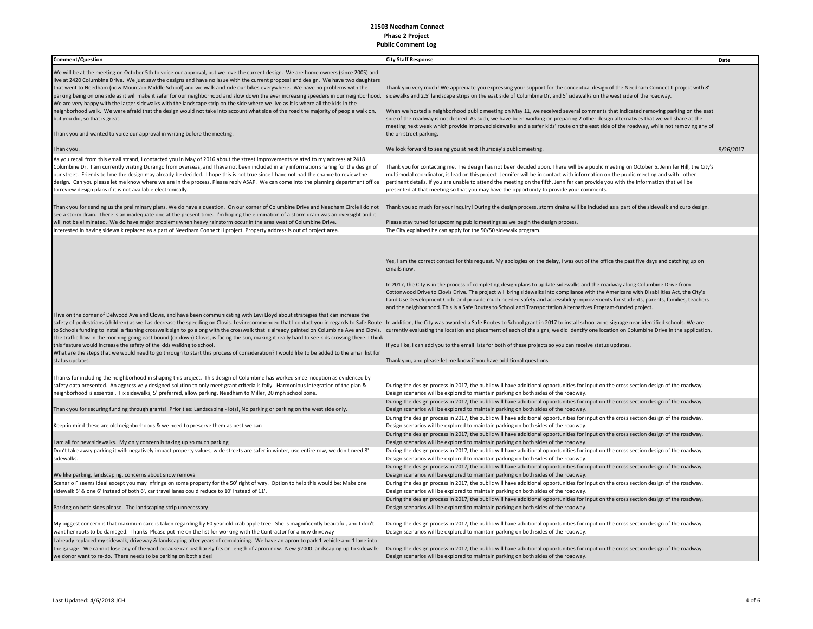| Comment/Question                                                                                                                                                                                                                                                                                                                                                                                                                                                                                                                                                                                                                                                                                                                                                                                                                                                                                                                                        | <b>City Staff Response</b>                                                                                                                                                                                                                                                                                                                                                                                                                                                                                                                                                                                                                                                                                                                                                                                                                                                                                                                                                                                                                                                                                        | Date      |
|---------------------------------------------------------------------------------------------------------------------------------------------------------------------------------------------------------------------------------------------------------------------------------------------------------------------------------------------------------------------------------------------------------------------------------------------------------------------------------------------------------------------------------------------------------------------------------------------------------------------------------------------------------------------------------------------------------------------------------------------------------------------------------------------------------------------------------------------------------------------------------------------------------------------------------------------------------|-------------------------------------------------------------------------------------------------------------------------------------------------------------------------------------------------------------------------------------------------------------------------------------------------------------------------------------------------------------------------------------------------------------------------------------------------------------------------------------------------------------------------------------------------------------------------------------------------------------------------------------------------------------------------------------------------------------------------------------------------------------------------------------------------------------------------------------------------------------------------------------------------------------------------------------------------------------------------------------------------------------------------------------------------------------------------------------------------------------------|-----------|
| We will be at the meeting on October 5th to voice our approval, but we love the current design. We are home owners (since 2005) and<br>live at 2420 Columbine Drive. We just saw the designs and have no issue with the current proposal and design. We have two daughters<br>that went to Needham (now Mountain Middle School) and we walk and ride our bikes everywhere. We have no problems with the<br>parking being on one side as it will make it safer for our neighborhood and slow down the ever increasing speeders in our neighborhood. sidewalks and 2.5' landscape strips on the east side of Columbine Dr, and 5' sidewalks<br>We are very happy with the larger sidewalks with the landscape strip on the side where we live as it is where all the kids in the<br>neighborhood walk. We were afraid that the design would not take into account what side of the road the majority of people walk on,<br>but you did, so that is great. | Thank you very much! We appreciate you expressing your support for the conceptual design of the Needham Connect II project with 8'<br>When we hosted a neighborhood public meeting on May 11, we received several comments that indicated removing parking on the east<br>side of the roadway is not desired. As such, we have been working on preparing 2 other design alternatives that we will share at the<br>meeting next week which provide improved sidewalks and a safer kids' route on the east side of the roadway, while not removing any of<br>the on-street parking.                                                                                                                                                                                                                                                                                                                                                                                                                                                                                                                                 |           |
| Thank you and wanted to voice our approval in writing before the meeting.                                                                                                                                                                                                                                                                                                                                                                                                                                                                                                                                                                                                                                                                                                                                                                                                                                                                               |                                                                                                                                                                                                                                                                                                                                                                                                                                                                                                                                                                                                                                                                                                                                                                                                                                                                                                                                                                                                                                                                                                                   |           |
| Thank you.                                                                                                                                                                                                                                                                                                                                                                                                                                                                                                                                                                                                                                                                                                                                                                                                                                                                                                                                              | We look forward to seeing you at next Thursday's public meeting.                                                                                                                                                                                                                                                                                                                                                                                                                                                                                                                                                                                                                                                                                                                                                                                                                                                                                                                                                                                                                                                  | 9/26/2017 |
| As you recall from this email strand, I contacted you in May of 2016 about the street improvements related to my address at 2418<br>Columbine Dr. I am currently visiting Durango from overseas, and I have not been included in any information sharing for the design of<br>our street. Friends tell me the design may already be decided. I hope this is not true since I have not had the chance to review the<br>design. Can you please let me know where we are in the process. Please reply ASAP. We can come into the planning department office<br>to review design plans if it is not available electronically.                                                                                                                                                                                                                                                                                                                               | Thank you for contacting me. The design has not been decided upon. There will be a public meeting on October 5. Jennifer Hill, the City's<br>multimodal coordinator, is lead on this project. Jennifer will be in contact with information on the public meeting and with other<br>pertinent details. If you are unable to attend the meeting on the fifth, Jennifer can provide you with the information that will be<br>presented at that meeting so that you may have the opportunity to provide your comments.                                                                                                                                                                                                                                                                                                                                                                                                                                                                                                                                                                                                |           |
| Thank you for sending us the preliminary plans. We do have a question. On our corner of Columbine Drive and Needham Circle I do not<br>see a storm drain. There is an inadequate one at the present time. I'm hoping the elimination of a storm drain was an oversight and it<br>will not be eliminated. We do have major problems when heavy rainstorm occur in the area west of Columbine Drive.                                                                                                                                                                                                                                                                                                                                                                                                                                                                                                                                                      | Thank you so much for your inquiry! During the design process, storm drains will be included as a part of the sidewalk and curb design.<br>Please stay tuned for upcoming public meetings as we begin the design process.                                                                                                                                                                                                                                                                                                                                                                                                                                                                                                                                                                                                                                                                                                                                                                                                                                                                                         |           |
| Interested in having sidewalk replaced as a part of Needham Connect II project. Property address is out of project area.                                                                                                                                                                                                                                                                                                                                                                                                                                                                                                                                                                                                                                                                                                                                                                                                                                | The City explained he can apply for the 50/50 sidewalk program.                                                                                                                                                                                                                                                                                                                                                                                                                                                                                                                                                                                                                                                                                                                                                                                                                                                                                                                                                                                                                                                   |           |
| I live on the corner of Delwood Ave and Clovis, and have been communicating with Levi Lloyd about strategies that can increase the<br>safety of pedestrians (children) as well as decrease the speeding on Clovis. Levi recommended that I contact you in regards to Safe Route In addition, the City was awarded a Safe Routes to School grant in 2017 to install s<br>The traffic flow in the morning going east bound (or down) Clovis, is facing the sun, making it really hard to see kids crossing there. I think<br>this feature would increase the safety of the kids walking to school.<br>What are the steps that we would need to go through to start this process of consideration? I would like to be added to the email list for<br>status updates.                                                                                                                                                                                       | Yes, I am the correct contact for this request. My apologies on the delay, I was out of the office the past five days and catching up on<br>emails now.<br>In 2017, the City is in the process of completing design plans to update sidewalks and the roadway along Columbine Drive from<br>Cottonwood Drive to Clovis Drive. The project will bring sidewalks into compliance with the Americans with Disabilities Act, the City's<br>Land Use Development Code and provide much needed safety and accessibility improvements for students, parents, families, teachers<br>and the neighborhood. This is a Safe Routes to School and Transportation Alternatives Program-funded project.<br>to Schools funding to install a flashing crosswalk sign to go along with the crosswalk that is already painted on Columbine Ave and Clovis. currently evaluating the location and placement of each of the signs, we did ident<br>If you like, I can add you to the email lists for both of these projects so you can receive status updates.<br>Thank you, and please let me know if you have additional questions. |           |
| Thanks for including the neighborhood in shaping this project. This design of Columbine has worked since inception as evidenced by<br>safety data presented. An aggressively designed solution to only meet grant criteria is folly. Harmonious integration of the plan &<br>neighborhood is essential. Fix sidewalks, 5' preferred, allow parking, Needham to Miller, 20 mph school zone.                                                                                                                                                                                                                                                                                                                                                                                                                                                                                                                                                              | During the design process in 2017, the public will have additional opportunities for input on the cross section design of the roadway.<br>Design scenarios will be explored to maintain parking on both sides of the roadway.<br>During the design process in 2017, the public will have additional opportunities for input on the cross section design of the roadway.                                                                                                                                                                                                                                                                                                                                                                                                                                                                                                                                                                                                                                                                                                                                           |           |
| Thank you for securing funding through grants! Priorities: Landscaping - lots!, No parking or parking on the west side only.                                                                                                                                                                                                                                                                                                                                                                                                                                                                                                                                                                                                                                                                                                                                                                                                                            | Design scenarios will be explored to maintain parking on both sides of the roadway.                                                                                                                                                                                                                                                                                                                                                                                                                                                                                                                                                                                                                                                                                                                                                                                                                                                                                                                                                                                                                               |           |
| Keep in mind these are old neighborhoods & we need to preserve them as best we can                                                                                                                                                                                                                                                                                                                                                                                                                                                                                                                                                                                                                                                                                                                                                                                                                                                                      | During the design process in 2017, the public will have additional opportunities for input on the cross section design of the roadway.<br>Design scenarios will be explored to maintain parking on both sides of the roadway.                                                                                                                                                                                                                                                                                                                                                                                                                                                                                                                                                                                                                                                                                                                                                                                                                                                                                     |           |
| I am all for new sidewalks. My only concern is taking up so much parking                                                                                                                                                                                                                                                                                                                                                                                                                                                                                                                                                                                                                                                                                                                                                                                                                                                                                | During the design process in 2017, the public will have additional opportunities for input on the cross section design of the roadway.<br>Design scenarios will be explored to maintain parking on both sides of the roadway.                                                                                                                                                                                                                                                                                                                                                                                                                                                                                                                                                                                                                                                                                                                                                                                                                                                                                     |           |
| Don't take away parking it will: negatively impact property values, wide streets are safer in winter, use entire row, we don't need 8'                                                                                                                                                                                                                                                                                                                                                                                                                                                                                                                                                                                                                                                                                                                                                                                                                  | During the design process in 2017, the public will have additional opportunities for input on the cross section design of the roadway.                                                                                                                                                                                                                                                                                                                                                                                                                                                                                                                                                                                                                                                                                                                                                                                                                                                                                                                                                                            |           |
| sidewalks.                                                                                                                                                                                                                                                                                                                                                                                                                                                                                                                                                                                                                                                                                                                                                                                                                                                                                                                                              | Design scenarios will be explored to maintain parking on both sides of the roadway.                                                                                                                                                                                                                                                                                                                                                                                                                                                                                                                                                                                                                                                                                                                                                                                                                                                                                                                                                                                                                               |           |
| We like parking, landscaping, concerns about snow removal                                                                                                                                                                                                                                                                                                                                                                                                                                                                                                                                                                                                                                                                                                                                                                                                                                                                                               | During the design process in 2017, the public will have additional opportunities for input on the cross section design of the roadway.<br>Design scenarios will be explored to maintain parking on both sides of the roadway.                                                                                                                                                                                                                                                                                                                                                                                                                                                                                                                                                                                                                                                                                                                                                                                                                                                                                     |           |
| Scenario F seems ideal except you may infringe on some property for the 50' right of way. Option to help this would be: Make one<br>sidewalk 5' & one 6' instead of both 6', car travel lanes could reduce to 10' instead of 11'.                                                                                                                                                                                                                                                                                                                                                                                                                                                                                                                                                                                                                                                                                                                       | During the design process in 2017, the public will have additional opportunities for input on the cross section design of the roadway.<br>Design scenarios will be explored to maintain parking on both sides of the roadway.                                                                                                                                                                                                                                                                                                                                                                                                                                                                                                                                                                                                                                                                                                                                                                                                                                                                                     |           |
| Parking on both sides please. The landscaping strip unnecessary                                                                                                                                                                                                                                                                                                                                                                                                                                                                                                                                                                                                                                                                                                                                                                                                                                                                                         | During the design process in 2017, the public will have additional opportunities for input on the cross section design of the roadway.<br>Design scenarios will be explored to maintain parking on both sides of the roadway.                                                                                                                                                                                                                                                                                                                                                                                                                                                                                                                                                                                                                                                                                                                                                                                                                                                                                     |           |
| My biggest concern is that maximum care is taken regarding by 60 year old crab apple tree. She is magnificently beautiful, and I don't<br>want her roots to be damaged. Thanks Please put me on the list for working with the Contractor for a new driveway                                                                                                                                                                                                                                                                                                                                                                                                                                                                                                                                                                                                                                                                                             | During the design process in 2017, the public will have additional opportunities for input on the cross section design of the roadway.<br>Design scenarios will be explored to maintain parking on both sides of the roadway.                                                                                                                                                                                                                                                                                                                                                                                                                                                                                                                                                                                                                                                                                                                                                                                                                                                                                     |           |
| I already replaced my sidewalk, driveway & landscaping after years of complaining. We have an apron to park 1 vehicle and 1 lane into<br>the garage. We cannot lose any of the yard because car just barely fits on length of apron now. New \$2000 landscaping up to sidewalk-<br>we donor want to re-do. There needs to be parking on both sides!                                                                                                                                                                                                                                                                                                                                                                                                                                                                                                                                                                                                     | During the design process in 2017, the public will have additional opportunities for input on the cross section design of the roadway.<br>Design scenarios will be explored to maintain parking on both sides of the roadway.                                                                                                                                                                                                                                                                                                                                                                                                                                                                                                                                                                                                                                                                                                                                                                                                                                                                                     |           |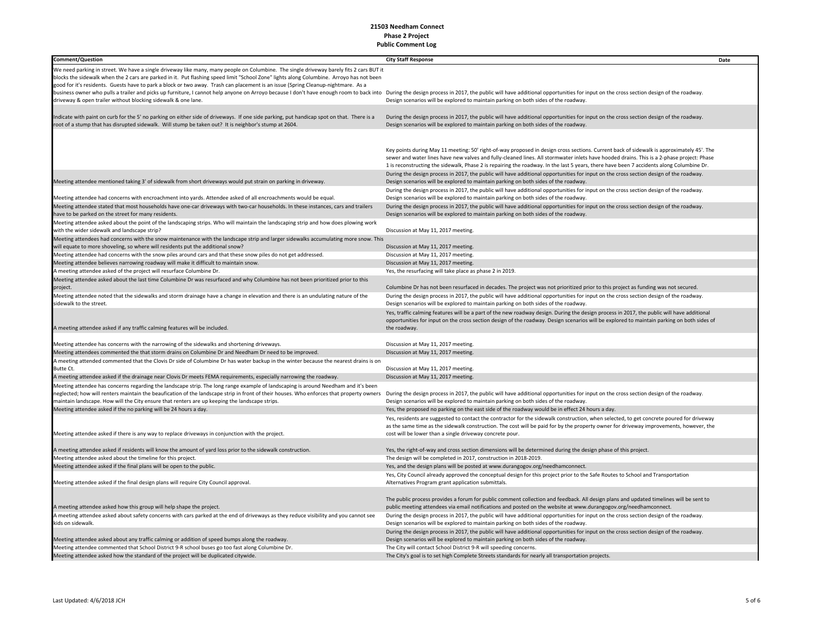| <b>Comment/Question</b>                                                                                                                                                                                                                                                             | <b>City Staff Response</b>                                                                                                                                                                         | Date |
|-------------------------------------------------------------------------------------------------------------------------------------------------------------------------------------------------------------------------------------------------------------------------------------|----------------------------------------------------------------------------------------------------------------------------------------------------------------------------------------------------|------|
|                                                                                                                                                                                                                                                                                     |                                                                                                                                                                                                    |      |
| We need parking in street. We have a single driveway like many, many people on Columbine. The single driveway barely fits 2 cars BUT it<br>blocks the sidewalk when the 2 cars are parked in it. Put flashing speed limit "School Zone" lights along Columbine. Arroyo has not been |                                                                                                                                                                                                    |      |
| good for it's residents. Guests have to park a block or two away. Trash can placement is an issue (Spring Cleanup-nightmare. As a                                                                                                                                                   |                                                                                                                                                                                                    |      |
| business owner who pulls a trailer and picks up furniture, I cannot help anyone on Arroyo because I don't have enough room to back into During the design process in 2017, the public will have additional opportunities for i                                                      |                                                                                                                                                                                                    |      |
| driveway & open trailer without blocking sidewalk & one lane.                                                                                                                                                                                                                       | Design scenarios will be explored to maintain parking on both sides of the roadway.                                                                                                                |      |
|                                                                                                                                                                                                                                                                                     |                                                                                                                                                                                                    |      |
| Indicate with paint on curb for the 5' no parking on either side of driveways. If one side parking, put handicap spot on that. There is a                                                                                                                                           | During the design process in 2017, the public will have additional opportunities for input on the cross section design of the roadway.                                                             |      |
| root of a stump that has disrupted sidewalk. Will stump be taken out? It is neighbor's stump at 2604.                                                                                                                                                                               | Design scenarios will be explored to maintain parking on both sides of the roadway.                                                                                                                |      |
|                                                                                                                                                                                                                                                                                     |                                                                                                                                                                                                    |      |
|                                                                                                                                                                                                                                                                                     |                                                                                                                                                                                                    |      |
|                                                                                                                                                                                                                                                                                     | Key points during May 11 meeting: 50' right-of-way proposed in design cross sections. Current back of sidewalk is approximately 45'. The                                                           |      |
|                                                                                                                                                                                                                                                                                     | sewer and water lines have new valves and fully-cleaned lines. All stormwater inlets have hooded drains. This is a 2-phase project: Phase                                                          |      |
|                                                                                                                                                                                                                                                                                     | 1 is reconstructing the sidewalk, Phase 2 is repairing the roadway. In the last 5 years, there have been 7 accidents along Columbine Dr.                                                           |      |
|                                                                                                                                                                                                                                                                                     | During the design process in 2017, the public will have additional opportunities for input on the cross section design of the roadway.                                                             |      |
| Meeting attendee mentioned taking 3' of sidewalk from short driveways would put strain on parking in driveway.                                                                                                                                                                      | Design scenarios will be explored to maintain parking on both sides of the roadway.                                                                                                                |      |
|                                                                                                                                                                                                                                                                                     | During the design process in 2017, the public will have additional opportunities for input on the cross section design of the roadway.                                                             |      |
| Meeting attendee had concerns with encroachment into yards. Attendee asked of all encroachments would be equal.                                                                                                                                                                     | Design scenarios will be explored to maintain parking on both sides of the roadway.                                                                                                                |      |
| Meeting attendee stated that most households have one-car driveways with two-car households. In these instances, cars and trailers                                                                                                                                                  | During the design process in 2017, the public will have additional opportunities for input on the cross section design of the roadway.                                                             |      |
| have to be parked on the street for many residents.                                                                                                                                                                                                                                 | Design scenarios will be explored to maintain parking on both sides of the roadway.                                                                                                                |      |
| Meeting attendee asked about the point of the landscaping strips. Who will maintain the landscaping strip and how does plowing work                                                                                                                                                 |                                                                                                                                                                                                    |      |
| with the wider sidewalk and landscape strip?                                                                                                                                                                                                                                        | Discussion at May 11, 2017 meeting.                                                                                                                                                                |      |
| Meeting attendees had concerns with the snow maintenance with the landscape strip and larger sidewalks accumulating more snow. This                                                                                                                                                 |                                                                                                                                                                                                    |      |
| will equate to more shoveling, so where will residents put the additional snow?<br>Meeting attendee had concerns with the snow piles around cars and that these snow piles do not get addressed.                                                                                    | Discussion at May 11, 2017 meeting.<br>Discussion at May 11, 2017 meeting.                                                                                                                         |      |
| Meeting attendee believes narrowing roadway will make it difficult to maintain snow.                                                                                                                                                                                                | Discussion at May 11, 2017 meeting.                                                                                                                                                                |      |
| A meeting attendee asked of the project will resurface Columbine Dr.                                                                                                                                                                                                                | Yes, the resurfacing will take place as phase 2 in 2019.                                                                                                                                           |      |
| Meeting attendee asked about the last time Columbine Dr was resurfaced and why Columbine has not been prioritized prior to this                                                                                                                                                     |                                                                                                                                                                                                    |      |
| project.                                                                                                                                                                                                                                                                            | Columbine Dr has not been resurfaced in decades. The project was not prioritized prior to this project as funding was not secured.                                                                 |      |
| Meeting attendee noted that the sidewalks and storm drainage have a change in elevation and there is an undulating nature of the                                                                                                                                                    | During the design process in 2017, the public will have additional opportunities for input on the cross section design of the roadway.                                                             |      |
| sidewalk to the street.                                                                                                                                                                                                                                                             | Design scenarios will be explored to maintain parking on both sides of the roadway.                                                                                                                |      |
|                                                                                                                                                                                                                                                                                     | Yes, traffic calming features will be a part of the new roadway design. During the design process in 2017, the public will have additional                                                         |      |
|                                                                                                                                                                                                                                                                                     | opportunities for input on the cross section design of the roadway. Design scenarios will be explored to maintain parking on both sides of                                                         |      |
| A meeting attendee asked if any traffic calming features will be included.                                                                                                                                                                                                          | the roadway.                                                                                                                                                                                       |      |
|                                                                                                                                                                                                                                                                                     |                                                                                                                                                                                                    |      |
| Meeting attendee has concerns with the narrowing of the sidewalks and shortening driveways.                                                                                                                                                                                         | Discussion at May 11, 2017 meeting.                                                                                                                                                                |      |
| Meeting attendees commented the that storm drains on Columbine Dr and Needham Dr need to be improved.                                                                                                                                                                               | Discussion at May 11, 2017 meeting.                                                                                                                                                                |      |
| A meeting attended commented that the Clovis Dr side of Columbine Dr has water backup in the winter because the nearest drains is on                                                                                                                                                |                                                                                                                                                                                                    |      |
| Butte Ct.                                                                                                                                                                                                                                                                           | Discussion at May 11, 2017 meeting.                                                                                                                                                                |      |
| A meeting attendee asked if the drainage near Clovis Dr meets FEMA requirements, especially narrowing the roadway.                                                                                                                                                                  | Discussion at May 11, 2017 meeting.                                                                                                                                                                |      |
| Meeting attendee has concerns regarding the landscape strip. The long range example of landscaping is around Needham and it's been                                                                                                                                                  |                                                                                                                                                                                                    |      |
| neglected; how will renters maintain the beaufication of the landscape strip in front of their houses. Who enforces that property owners                                                                                                                                            | During the design process in 2017, the public will have additional opportunities for input on the cross section design of the roadway.                                                             |      |
| maintain landscape. How will the City ensure that renters are up keeping the landscape strips.                                                                                                                                                                                      | Design scenarios will be explored to maintain parking on both sides of the roadway.                                                                                                                |      |
| Meeting attendee asked if the no parking will be 24 hours a day.                                                                                                                                                                                                                    | Yes, the proposed no parking on the east side of the roadway would be in effect 24 hours a day.                                                                                                    |      |
|                                                                                                                                                                                                                                                                                     | Yes, residents are suggested to contact the contractor for the sidewalk construction, when selected, to get concrete poured for driveway                                                           |      |
| Meeting attendee asked if there is any way to replace driveways in conjunction with the project.                                                                                                                                                                                    | as the same time as the sidewalk construction. The cost will be paid for by the property owner for driveway improvements, however, the<br>cost will be lower than a single driveway concrete pour. |      |
|                                                                                                                                                                                                                                                                                     |                                                                                                                                                                                                    |      |
| A meeting attendee asked if residents will know the amount of yard loss prior to the sidewalk construction.                                                                                                                                                                         | Yes, the right-of-way and cross section dimensions will be determined during the design phase of this project.                                                                                     |      |
| Meeting attendee asked about the timeline for this project.                                                                                                                                                                                                                         | The design will be completed in 2017, construction in 2018-2019.                                                                                                                                   |      |
| Meeting attendee asked if the final plans will be open to the public.                                                                                                                                                                                                               | Yes, and the design plans will be posted at www.durangogov.org/needhamconnect.                                                                                                                     |      |
|                                                                                                                                                                                                                                                                                     | Yes, City Council already approved the conceptual design for this project prior to the Safe Routes to School and Transportation                                                                    |      |
| Meeting attendee asked if the final design plans will require City Council approval.                                                                                                                                                                                                | Alternatives Program grant application submittals.                                                                                                                                                 |      |
|                                                                                                                                                                                                                                                                                     |                                                                                                                                                                                                    |      |
|                                                                                                                                                                                                                                                                                     | The public process provides a forum for public comment collection and feedback. All design plans and updated timelines will be sent to                                                             |      |
| A meeting attendee asked how this group will help shape the project.                                                                                                                                                                                                                | public meeting attendees via email notifications and posted on the website at www.durangogov.org/needhamconnect.                                                                                   |      |
| A meeting attendee asked about safety concerns with cars parked at the end of driveways as they reduce visibility and you cannot see                                                                                                                                                | During the design process in 2017, the public will have additional opportunities for input on the cross section design of the roadway.                                                             |      |
| kids on sidewalk.                                                                                                                                                                                                                                                                   | Design scenarios will be explored to maintain parking on both sides of the roadway.                                                                                                                |      |
|                                                                                                                                                                                                                                                                                     | During the design process in 2017, the public will have additional opportunities for input on the cross section design of the roadway.                                                             |      |
| Meeting attendee asked about any traffic calming or addition of speed bumps along the roadway.                                                                                                                                                                                      | Design scenarios will be explored to maintain parking on both sides of the roadway.                                                                                                                |      |
| Meeting attendee commented that School District 9-R school buses go too fast along Columbine Dr.                                                                                                                                                                                    | The City will contact School District 9-R will speeding concerns.                                                                                                                                  |      |
| Meeting attendee asked how the standard of the project will be duplicated citywide.                                                                                                                                                                                                 | The City's goal is to set high Complete Streets standards for nearly all transportation projects.                                                                                                  |      |